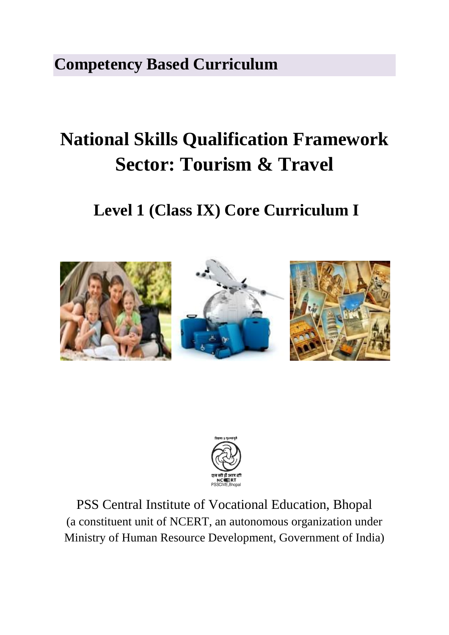**Competency Based Curriculum** 

# **National Skills Qualification Framework Sector: Tourism & Travel**

# **Level 1 (Class IX) Core Curriculum I**





PSS Central Institute of Vocational Education, Bhopal (a constituent unit of NCERT, an autonomous organization under Ministry of Human Resource Development, Government of India)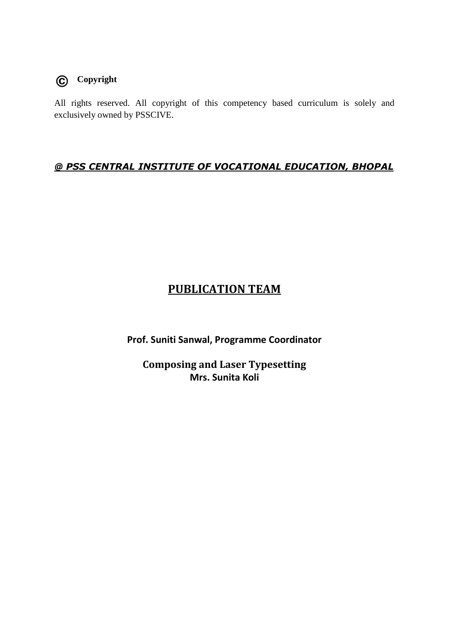

## **Copyright**

All rights reserved. All copyright of this competency based curriculum is solely and exclusively owned by PSSCIVE.

### *@ PSS CENTRAL INSTITUTE OF VOCATIONAL EDUCATION, BHOPAL*

## **PUBLICATION TEAM**

**Prof. Suniti Sanwal, Programme Coordinator** 

**Composing and Laser Typesetting Mrs. Sunita Koli**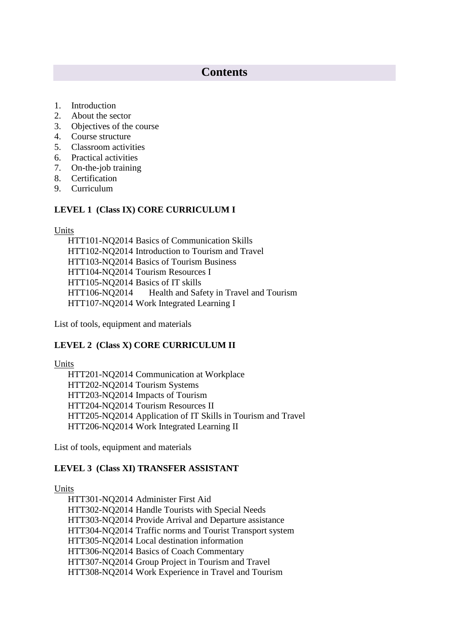## **Contents**

- 1. Introduction
- 2. About the sector
- 3. Objectives of the course
- 4. Course structure
- 5. Classroom activities
- 6. Practical activities
- 7. On-the-job training
- 8. Certification
- 9. Curriculum

#### **LEVEL 1 (Class IX) CORE CURRICULUM I**

#### Units

HTT101-NQ2014 Basics of Communication Skills HTT102-NQ2014 Introduction to Tourism and Travel HTT103-NQ2014 Basics of Tourism Business HTT104-NQ2014 Tourism Resources I HTT105-NQ2014 Basics of IT skills HTT106-NQ2014 Health and Safety in Travel and Tourism HTT107-NQ2014 Work Integrated Learning I

List of tools, equipment and materials

#### **LEVEL 2 (Class X) CORE CURRICULUM II**

#### Units

HTT201-NQ2014 Communication at Workplace HTT202-NQ2014 Tourism Systems HTT203-NQ2014 Impacts of Tourism HTT204-NQ2014 Tourism Resources II HTT205-NQ2014 Application of IT Skills in Tourism and Travel HTT206-NQ2014 Work Integrated Learning II

List of tools, equipment and materials

#### **LEVEL 3 (Class XI) TRANSFER ASSISTANT**

#### Units

HTT301-NQ2014 Administer First Aid HTT302-NQ2014 Handle Tourists with Special Needs HTT303-NQ2014 Provide Arrival and Departure assistance HTT304-NQ2014 Traffic norms and Tourist Transport system HTT305-NQ2014 Local destination information HTT306-NQ2014 Basics of Coach Commentary HTT307-NQ2014 Group Project in Tourism and Travel HTT308-NQ2014 Work Experience in Travel and Tourism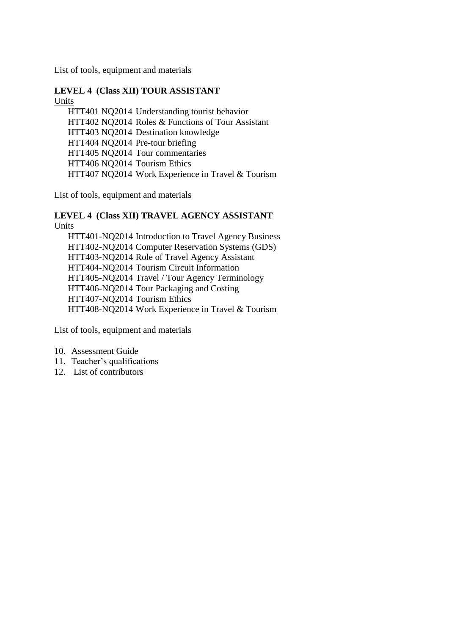List of tools, equipment and materials

#### **LEVEL 4 (Class XII) TOUR ASSISTANT**  Units

HTT401 NQ2014 Understanding tourist behavior HTT402 NQ2014 Roles & Functions of Tour Assistant HTT403 NQ2014 Destination knowledge HTT404 NQ2014 Pre-tour briefing HTT405 NQ2014 Tour commentaries HTT406 NQ2014 Tourism Ethics HTT407 NQ2014 Work Experience in Travel & Tourism

List of tools, equipment and materials

#### **LEVEL 4 (Class XII) TRAVEL AGENCY ASSISTANT**  Units

HTT401-NQ2014 Introduction to Travel Agency Business HTT402-NQ2014 Computer Reservation Systems (GDS) HTT403-NQ2014 Role of Travel Agency Assistant HTT404-NQ2014 Tourism Circuit Information HTT405-NQ2014 Travel / Tour Agency Terminology HTT406-NQ2014 Tour Packaging and Costing HTT407-NQ2014 Tourism Ethics HTT408-NQ2014 Work Experience in Travel & Tourism

List of tools, equipment and materials

#### 10. Assessment Guide

- 11. Teacher's qualifications
- 12. List of contributors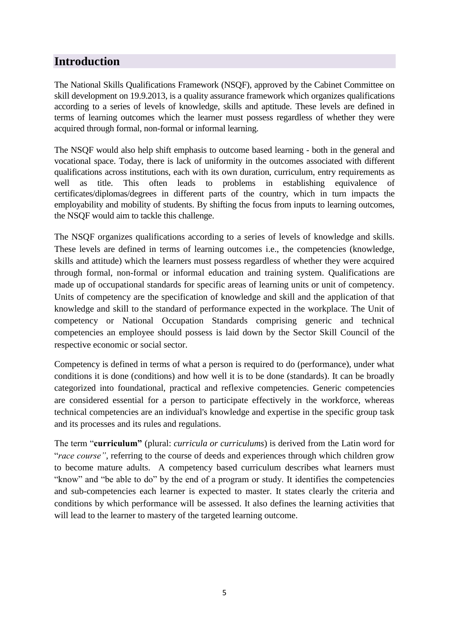## **Introduction**

The National Skills Qualifications Framework (NSQF), approved by the Cabinet Committee on skill development on 19.9.2013, is a quality assurance framework which organizes qualifications according to a series of levels of knowledge, skills and aptitude. These levels are defined in terms of learning outcomes which the learner must possess regardless of whether they were acquired through formal, non-formal or informal learning.

The NSQF would also help shift emphasis to outcome based learning - both in the general and vocational space. Today, there is lack of uniformity in the outcomes associated with different qualifications across institutions, each with its own duration, curriculum, entry requirements as well as title. This often leads to problems in establishing equivalence of certificates/diplomas/degrees in different parts of the country, which in turn impacts the employability and mobility of students. By shifting the focus from inputs to learning outcomes, the NSQF would aim to tackle this challenge.

The NSQF organizes qualifications according to a series of levels of knowledge and skills. These levels are defined in terms of learning outcomes i.e., the competencies (knowledge, skills and attitude) which the learners must possess regardless of whether they were acquired through formal, non-formal or informal education and training system. Qualifications are made up of occupational standards for specific areas of learning units or unit of competency. Units of competency are the specification of knowledge and skill and the application of that knowledge and skill to the standard of performance expected in the workplace. The Unit of competency or National Occupation Standards comprising generic and technical competencies an employee should possess is laid down by the Sector Skill Council of the respective economic or social sector.

Competency is defined in terms of what a person is required to do (performance), under what conditions it is done (conditions) and how well it is to be done (standards). It can be broadly categorized into foundational, practical and reflexive competencies. Generic competencies are considered essential for a person to participate effectively in the workforce, whereas technical competencies are an individual's knowledge and expertise in the specific group task and its processes and its rules and regulations.

The term "**curriculum"** (plural: *curricula or curriculums*) is derived from the Latin word for "*race course"*, referring to the course of deeds and experiences through which children grow to become mature adults. A competency based curriculum describes what learners must "know" and "be able to do" by the end of a program or study. It identifies the competencies and sub-competencies each learner is expected to master. It states clearly the criteria and conditions by which performance will be assessed. It also defines the learning activities that will lead to the learner to mastery of the targeted learning outcome.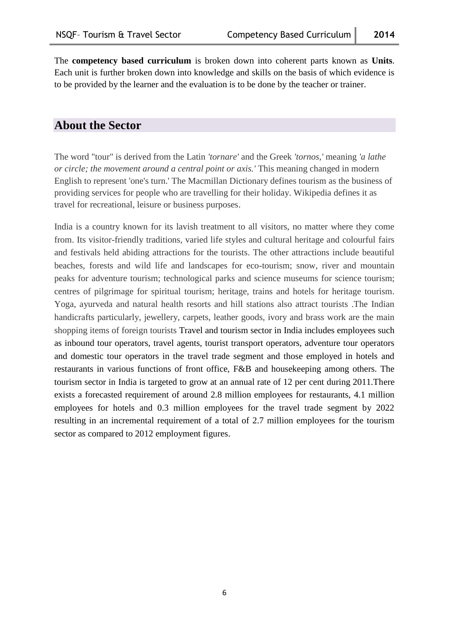The **competency based curriculum** is broken down into coherent parts known as **Units**. Each unit is further broken down into knowledge and skills on the basis of which evidence is to be provided by the learner and the evaluation is to be done by the teacher or trainer.

### **About the Sector**

The word "tour" is derived from the Latin *'tornare'* and the Greek *'tornos,'* meaning *'a lathe or circle; the movement around a central point or axis.'* This meaning changed in modern English to represent 'one's turn.' The Macmillan Dictionary defines tourism as the business of providing services for people who are travelling for their holiday. Wikipedia defines it as travel for recreational, leisure or business purposes.

India is a country known for its lavish treatment to all visitors, no matter where they come from. Its visitor-friendly traditions, varied life styles and cultural heritage and colourful fairs and festivals held abiding attractions for the tourists. The other attractions include beautiful beaches, forests and wild life and landscapes for eco-tourism; snow, river and mountain peaks for adventure tourism; technological parks and science museums for science tourism; centres of pilgrimage for spiritual tourism; heritage, trains and hotels for heritage tourism. Yoga, ayurveda and natural health resorts and hill stations also attract tourists .The Indian handicrafts particularly, jewellery, carpets, leather goods, ivory and brass work are the main shopping items of foreign tourists Travel and tourism sector in India includes employees such as inbound tour operators, travel agents, tourist transport operators, adventure tour operators and domestic tour operators in the travel trade segment and those employed in hotels and restaurants in various functions of front office, F&B and housekeeping among others. The tourism sector in India is targeted to grow at an annual rate of 12 per cent during 2011.There exists a forecasted requirement of around 2.8 million employees for restaurants, 4.1 million employees for hotels and 0.3 million employees for the travel trade segment by 2022 resulting in an incremental requirement of a total of 2.7 million employees for the tourism sector as compared to 2012 employment figures.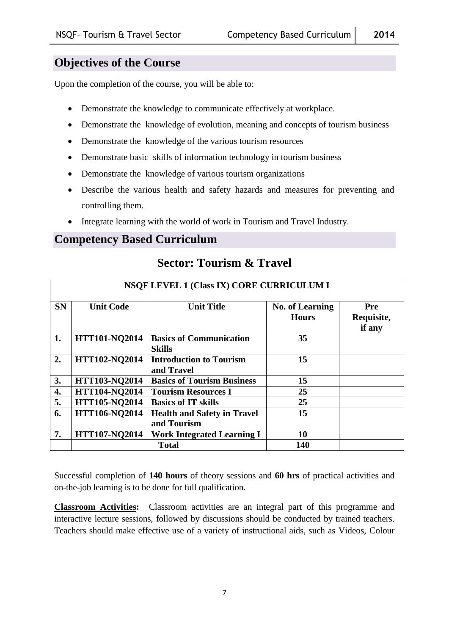## **Objectives of the Course**

Upon the completion of the course, you will be able to:

- Demonstrate the knowledge to communicate effectively at workplace.
- Demonstrate the knowledge of evolution, meaning and concepts of tourism business
- Demonstrate the knowledge of the various tourism resources
- Demonstrate basic skills of information technology in tourism business
- Demonstrate the knowledge of various tourism organizations
- Describe the various health and safety hazards and measures for preventing and controlling them.
- Integrate learning with the world of work in Tourism and Travel Industry.

## **Competency Based Curriculum**

| <b>NSQF LEVEL 1 (Class IX) CORE CURRICULUM I</b> |                      |                                                   |                                        |                                    |
|--------------------------------------------------|----------------------|---------------------------------------------------|----------------------------------------|------------------------------------|
| <b>SN</b>                                        | <b>Unit Code</b>     | <b>Unit Title</b>                                 | <b>No. of Learning</b><br><b>Hours</b> | <b>Pre</b><br>Requisite,<br>if any |
| 1.                                               | <b>HTT101-NQ2014</b> | <b>Basics of Communication</b><br><b>Skills</b>   | 35                                     |                                    |
| 2.                                               | <b>HTT102-NQ2014</b> | <b>Introduction to Tourism</b><br>and Travel      | 15                                     |                                    |
| 3.                                               | <b>HTT103-NQ2014</b> | <b>Basics of Tourism Business</b>                 | 15                                     |                                    |
| 4.                                               | <b>HTT104-NQ2014</b> | <b>Tourism Resources I</b>                        | 25                                     |                                    |
| 5.                                               | <b>HTT105-NQ2014</b> | <b>Basics of IT skills</b>                        | 25                                     |                                    |
| 6.                                               | <b>HTT106-NO2014</b> | <b>Health and Safety in Travel</b><br>and Tourism | 15                                     |                                    |
| 7.                                               | <b>HTT107-NO2014</b> | <b>Work Integrated Learning I</b>                 | 10                                     |                                    |
|                                                  |                      | <b>Total</b>                                      | 140                                    |                                    |

## **Sector: Tourism & Travel**

Successful completion of **140 hours** of theory sessions and **60 hrs** of practical activities and on-the-job learning is to be done for full qualification.

**Classroom Activities:** Classroom activities are an integral part of this programme and interactive lecture sessions, followed by discussions should be conducted by trained teachers. Teachers should make effective use of a variety of instructional aids, such as Videos, Colour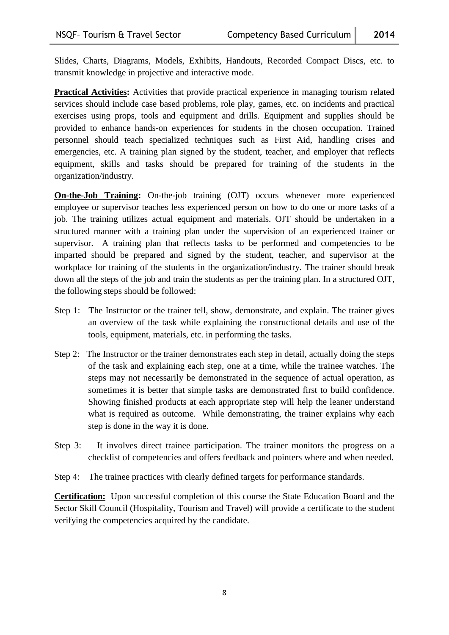Slides, Charts, Diagrams, Models, Exhibits, Handouts, Recorded Compact Discs, etc. to transmit knowledge in projective and interactive mode.

**Practical Activities:** Activities that provide practical experience in managing tourism related services should include case based problems, role play, games, etc. on incidents and practical exercises using props, tools and equipment and drills. Equipment and supplies should be provided to enhance hands-on experiences for students in the chosen occupation. Trained personnel should teach specialized techniques such as First Aid, handling crises and emergencies, etc. A training plan signed by the student, teacher, and employer that reflects equipment, skills and tasks should be prepared for training of the students in the organization/industry.

**On-the-Job Training:** On-the-job training (OJT) occurs whenever more experienced employee or supervisor teaches less experienced person on how to do one or more tasks of a job. The training utilizes actual equipment and materials. OJT should be undertaken in a structured manner with a training plan under the supervision of an experienced trainer or supervisor. A training plan that reflects tasks to be performed and competencies to be imparted should be prepared and signed by the student, teacher, and supervisor at the workplace for training of the students in the organization/industry. The trainer should break down all the steps of the job and train the students as per the training plan. In a structured OJT, the following steps should be followed:

- Step 1: The Instructor or the trainer tell, show, demonstrate, and explain. The trainer gives an overview of the task while explaining the constructional details and use of the tools, equipment, materials, etc. in performing the tasks.
- Step 2: The Instructor or the trainer demonstrates each step in detail, actually doing the steps of the task and explaining each step, one at a time, while the trainee watches. The steps may not necessarily be demonstrated in the sequence of actual operation, as sometimes it is better that simple tasks are demonstrated first to build confidence. Showing finished products at each appropriate step will help the leaner understand what is required as outcome. While demonstrating, the trainer explains why each step is done in the way it is done.
- Step 3: It involves direct trainee participation. The trainer monitors the progress on a checklist of competencies and offers feedback and pointers where and when needed.
- Step 4: The trainee practices with clearly defined targets for performance standards.

**Certification:** Upon successful completion of this course the State Education Board and the Sector Skill Council (Hospitality, Tourism and Travel) will provide a certificate to the student verifying the competencies acquired by the candidate.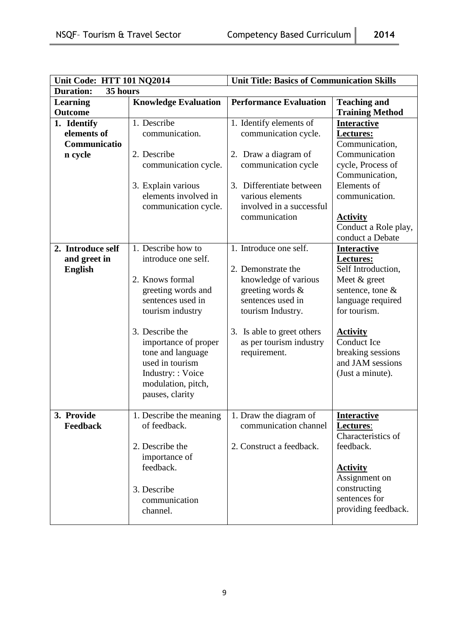| Unit Code: HTT 101 NQ2014 |                             | <b>Unit Title: Basics of Communication Skills</b> |                                 |
|---------------------------|-----------------------------|---------------------------------------------------|---------------------------------|
| <b>Duration:</b>          | 35 hours                    |                                                   |                                 |
| Learning                  | <b>Knowledge Evaluation</b> | <b>Performance Evaluation</b>                     | <b>Teaching and</b>             |
| Outcome                   |                             |                                                   | <b>Training Method</b>          |
| 1. Identify               | 1. Describe                 | 1. Identify elements of                           | <b>Interactive</b>              |
| elements of               | communication.              | communication cycle.                              | Lectures:                       |
| Communicatio              |                             |                                                   | Communication,                  |
| n cycle                   | 2. Describe                 | 2. Draw a diagram of                              | Communication                   |
|                           | communication cycle.        | communication cycle                               | cycle, Process of               |
|                           |                             |                                                   | Communication,                  |
|                           | 3. Explain various          | 3. Differentiate between                          | Elements of                     |
|                           | elements involved in        | various elements                                  | communication.                  |
|                           | communication cycle.        | involved in a successful                          |                                 |
|                           |                             | communication                                     | <b>Activity</b>                 |
|                           |                             |                                                   | Conduct a Role play,            |
|                           | 1. Describe how to          | 1. Introduce one self.                            | conduct a Debate                |
| 2. Introduce self         | introduce one self.         |                                                   | <b>Interactive</b>              |
| and greet in              |                             | 2. Demonstrate the                                | Lectures:<br>Self Introduction, |
| <b>English</b>            | 2. Knows formal             | knowledge of various                              | Meet $&$ greet                  |
|                           | greeting words and          | greeting words $\&$                               | sentence, tone &                |
|                           | sentences used in           | sentences used in                                 | language required               |
|                           | tourism industry            | tourism Industry.                                 | for tourism.                    |
|                           |                             |                                                   |                                 |
|                           | 3. Describe the             | 3. Is able to greet others                        | <b>Activity</b>                 |
|                           | importance of proper        | as per tourism industry                           | Conduct Ice                     |
|                           | tone and language           | requirement.                                      | breaking sessions               |
|                           | used in tourism             |                                                   | and JAM sessions                |
|                           | Industry: : Voice           |                                                   | (Just a minute).                |
|                           | modulation, pitch,          |                                                   |                                 |
|                           | pauses, clarity             |                                                   |                                 |
|                           |                             |                                                   |                                 |
| 3. Provide                | 1. Describe the meaning     | 1. Draw the diagram of                            | <b>Interactive</b>              |
| Feedback                  | of feedback.                | communication channel                             | Lectures:                       |
|                           |                             |                                                   | Characteristics of              |
|                           | 2. Describe the             | 2. Construct a feedback.                          | feedback.                       |
|                           | importance of               |                                                   |                                 |
|                           | feedback.                   |                                                   | <b>Activity</b>                 |
|                           |                             |                                                   | Assignment on                   |
|                           | 3. Describe                 |                                                   | constructing                    |
|                           | communication               |                                                   | sentences for                   |
|                           | channel.                    |                                                   | providing feedback.             |
|                           |                             |                                                   |                                 |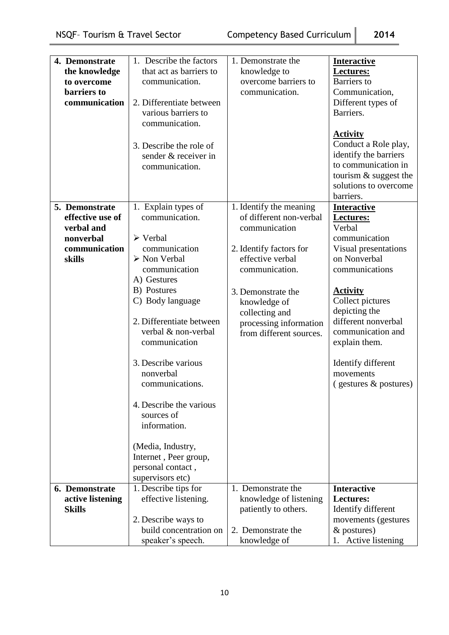| 4. Demonstrate                    | 1. Describe the factors                  | 1. Demonstrate the      | <b>Interactive</b>      |
|-----------------------------------|------------------------------------------|-------------------------|-------------------------|
| the knowledge                     | that act as barriers to                  | knowledge to            | <b>Lectures:</b>        |
| to overcome                       | communication.                           | overcome barriers to    | <b>Barriers</b> to      |
| barriers to                       |                                          | communication.          | Communication,          |
| communication                     | 2. Differentiate between                 |                         | Different types of      |
|                                   | various barriers to                      |                         | Barriers.               |
|                                   | communication.                           |                         |                         |
|                                   |                                          |                         | <b>Activity</b>         |
|                                   | 3. Describe the role of                  |                         | Conduct a Role play,    |
|                                   | sender & receiver in                     |                         | identify the barriers   |
|                                   | communication.                           |                         | to communication in     |
|                                   |                                          |                         | tourism $&$ suggest the |
|                                   |                                          |                         | solutions to overcome   |
|                                   |                                          |                         | barriers.               |
| 5. Demonstrate                    | 1. Explain types of                      | 1. Identify the meaning | <b>Interactive</b>      |
| effective use of                  | communication.                           | of different non-verbal | <b>Lectures:</b>        |
| verbal and                        |                                          | communication           | Verbal                  |
| nonverbal                         | $\triangleright$ Verbal                  |                         | communication           |
| communication                     | communication                            | 2. Identify factors for | Visual presentations    |
| skills                            | $\triangleright$ Non Verbal              | effective verbal        | on Nonverbal            |
|                                   | communication                            | communication.          | communications          |
|                                   | A) Gestures                              |                         |                         |
|                                   | B) Postures                              | 3. Demonstrate the      | <b>Activity</b>         |
|                                   | C) Body language                         | knowledge of            | Collect pictures        |
|                                   |                                          | collecting and          | depicting the           |
|                                   | 2. Differentiate between                 | processing information  | different nonverbal     |
|                                   | verbal & non-verbal                      | from different sources. | communication and       |
|                                   | communication                            |                         | explain them.           |
|                                   |                                          |                         |                         |
|                                   | 3. Describe various                      |                         | Identify different      |
|                                   | nonverbal                                |                         | movements               |
|                                   | communications.                          |                         | (gestures & postures)   |
|                                   |                                          |                         |                         |
|                                   | 4. Describe the various                  |                         |                         |
|                                   | sources of                               |                         |                         |
|                                   | information.                             |                         |                         |
|                                   |                                          |                         |                         |
|                                   | (Media, Industry,                        |                         |                         |
|                                   | Internet, Peer group,                    |                         |                         |
|                                   | personal contact,                        |                         |                         |
|                                   | supervisors etc)<br>1. Describe tips for | 1. Demonstrate the      | <b>Interactive</b>      |
| 6. Demonstrate                    |                                          | knowledge of listening  | <b>Lectures:</b>        |
| active listening<br><b>Skills</b> | effective listening.                     |                         | Identify different      |
|                                   | 2. Describe ways to                      | patiently to others.    | movements (gestures     |
|                                   | build concentration on                   | 2. Demonstrate the      | $&$ postures)           |
|                                   | speaker's speech.                        | knowledge of            | 1. Active listening     |
|                                   |                                          |                         |                         |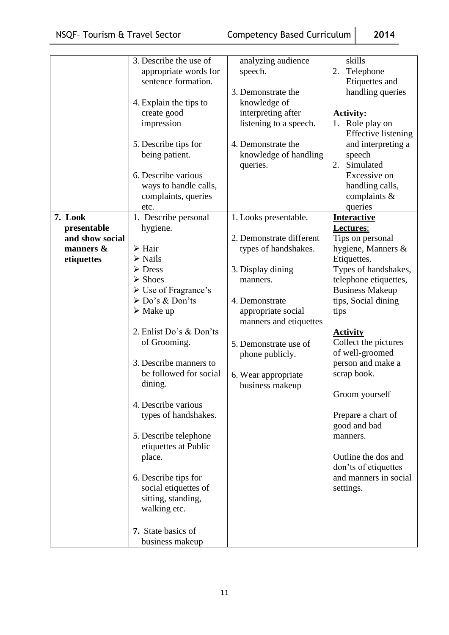|                 | 3. Describe the use of              | analyzing audience       | skills                     |
|-----------------|-------------------------------------|--------------------------|----------------------------|
|                 | appropriate words for               | speech.                  | Telephone<br>2.            |
|                 | sentence formation.                 |                          | Etiquettes and             |
|                 |                                     | 3. Demonstrate the       | handling queries           |
|                 |                                     |                          |                            |
|                 | 4. Explain the tips to              | knowledge of             |                            |
|                 | create good                         | interpreting after       | <b>Activity:</b>           |
|                 | impression                          | listening to a speech.   | 1. Role play on            |
|                 |                                     |                          | <b>Effective</b> listening |
|                 | 5. Describe tips for                | 4. Demonstrate the       | and interpreting a         |
|                 | being patient.                      | knowledge of handling    | speech                     |
|                 |                                     | queries.                 | Simulated<br>2.            |
|                 | 6. Describe various                 |                          | Excessive on               |
|                 | ways to handle calls,               |                          | handling calls,            |
|                 | complaints, queries                 |                          | complaints &               |
|                 | etc.                                |                          | queries                    |
| 7. Look         | 1. Describe personal                | 1. Looks presentable.    | <b>Interactive</b>         |
| presentable     | hygiene.                            |                          | Lectures:                  |
| and show social |                                     | 2. Demonstrate different | Tips on personal           |
| manners &       | $\triangleright$ Hair               | types of handshakes.     | hygiene, Manners &         |
| etiquettes      | $\triangleright$ Nails              |                          | Etiquettes.                |
|                 | $\triangleright$ Dress              | 3. Display dining        | Types of handshakes,       |
|                 | $\triangleright$ Shoes              | manners.                 | telephone etiquettes,      |
|                 | $\triangleright$ Use of Fragrance's |                          | <b>Business Makeup</b>     |
|                 | $\triangleright$ Do's & Don'ts      | 4. Demonstrate           | tips, Social dining        |
|                 | $\triangleright$ Make up            | appropriate social       | tips                       |
|                 |                                     | manners and etiquettes   |                            |
|                 | 2. Enlist Do's & Don'ts             |                          | <b>Activity</b>            |
|                 | of Grooming.                        | 5. Demonstrate use of    | Collect the pictures       |
|                 |                                     | phone publicly.          | of well-groomed            |
|                 | 3. Describe manners to              |                          | person and make a          |
|                 | be followed for social              | 6. Wear appropriate      | scrap book.                |
|                 | dining.                             | business makeup          |                            |
|                 |                                     |                          | Groom yourself             |
|                 | 4. Describe various                 |                          |                            |
|                 | types of handshakes.                |                          | Prepare a chart of         |
|                 |                                     |                          | good and bad               |
|                 | 5. Describe telephone               |                          | manners.                   |
|                 | etiquettes at Public                |                          |                            |
|                 | place.                              |                          | Outline the dos and        |
|                 |                                     |                          | don'ts of etiquettes       |
|                 | 6. Describe tips for                |                          | and manners in social      |
|                 | social etiquettes of                |                          | settings.                  |
|                 | sitting, standing,                  |                          |                            |
|                 | walking etc.                        |                          |                            |
|                 |                                     |                          |                            |
|                 | 7. State basics of                  |                          |                            |
|                 |                                     |                          |                            |
|                 | business makeup                     |                          |                            |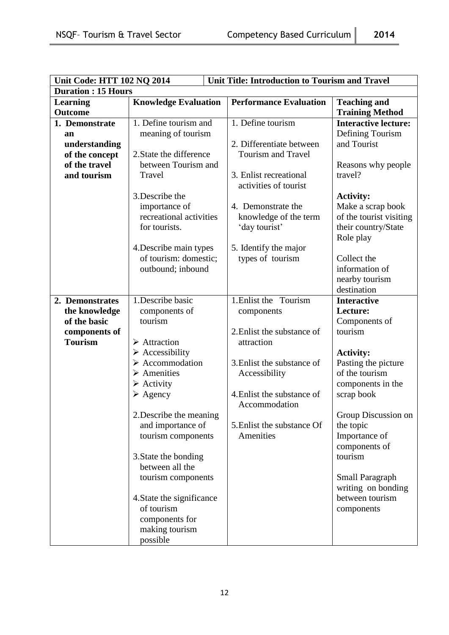| Unit Code: HTT 102 NQ 2014<br>Unit Title: Introduction to Tourism and Travel |                                         |                                                 |                                       |  |
|------------------------------------------------------------------------------|-----------------------------------------|-------------------------------------------------|---------------------------------------|--|
| <b>Duration: 15 Hours</b>                                                    |                                         |                                                 |                                       |  |
| <b>Learning</b>                                                              | <b>Knowledge Evaluation</b>             | <b>Performance Evaluation</b>                   | <b>Teaching and</b>                   |  |
| <b>Outcome</b>                                                               |                                         |                                                 | <b>Training Method</b>                |  |
| 1. Demonstrate                                                               | 1. Define tourism and                   | 1. Define tourism                               | <b>Interactive lecture:</b>           |  |
| an                                                                           | meaning of tourism                      |                                                 | Defining Tourism                      |  |
| understanding                                                                |                                         | 2. Differentiate between                        | and Tourist                           |  |
| of the concept                                                               | 2. State the difference                 | <b>Tourism and Travel</b>                       |                                       |  |
| of the travel                                                                | between Tourism and                     |                                                 | Reasons why people                    |  |
| and tourism                                                                  | Travel                                  | 3. Enlist recreational<br>activities of tourist | travel?                               |  |
|                                                                              | 3. Describe the                         |                                                 | <b>Activity:</b>                      |  |
|                                                                              | importance of                           | 4. Demonstrate the                              | Make a scrap book                     |  |
|                                                                              | recreational activities                 | knowledge of the term                           | of the tourist visiting               |  |
|                                                                              | for tourists.                           | 'day tourist'                                   | their country/State                   |  |
|                                                                              |                                         |                                                 | Role play                             |  |
|                                                                              | 4. Describe main types                  | 5. Identify the major                           |                                       |  |
|                                                                              | of tourism: domestic;                   | types of tourism                                | Collect the                           |  |
|                                                                              | outbound; inbound                       |                                                 | information of                        |  |
|                                                                              |                                         |                                                 | nearby tourism                        |  |
|                                                                              |                                         |                                                 | destination                           |  |
| 2. Demonstrates                                                              | 1. Describe basic                       | 1. Enlist the Tourism                           | <b>Interactive</b>                    |  |
| the knowledge                                                                | components of                           | components                                      | Lecture:                              |  |
| of the basic                                                                 | tourism                                 |                                                 | Components of                         |  |
| components of<br><b>Tourism</b>                                              | $\triangleright$ Attraction             | 2. Enlist the substance of<br>attraction        | tourism                               |  |
|                                                                              | $\triangleright$ Accessibility          |                                                 | <b>Activity:</b>                      |  |
|                                                                              | $\triangleright$ Accommodation          | 3. Enlist the substance of                      | Pasting the picture                   |  |
|                                                                              | $\triangleright$ Amenities              | Accessibility                                   | of the tourism                        |  |
|                                                                              | $\triangleright$ Activity               |                                                 | components in the                     |  |
|                                                                              | $\triangleright$ Agency                 | 4. Enlist the substance of                      | scrap book                            |  |
|                                                                              |                                         | Accommodation                                   |                                       |  |
|                                                                              | 2. Describe the meaning                 |                                                 | Group Discussion on                   |  |
|                                                                              | and importance of                       | 5. Enlist the substance Of                      | the topic                             |  |
|                                                                              | tourism components                      | Amenities                                       | Importance of                         |  |
|                                                                              |                                         |                                                 | components of                         |  |
|                                                                              | 3. State the bonding                    |                                                 | tourism                               |  |
|                                                                              | between all the                         |                                                 |                                       |  |
|                                                                              | tourism components                      |                                                 | <b>Small Paragraph</b>                |  |
|                                                                              |                                         |                                                 | writing on bonding<br>between tourism |  |
|                                                                              | 4. State the significance<br>of tourism |                                                 |                                       |  |
|                                                                              | components for                          |                                                 | components                            |  |
|                                                                              | making tourism                          |                                                 |                                       |  |
|                                                                              | possible                                |                                                 |                                       |  |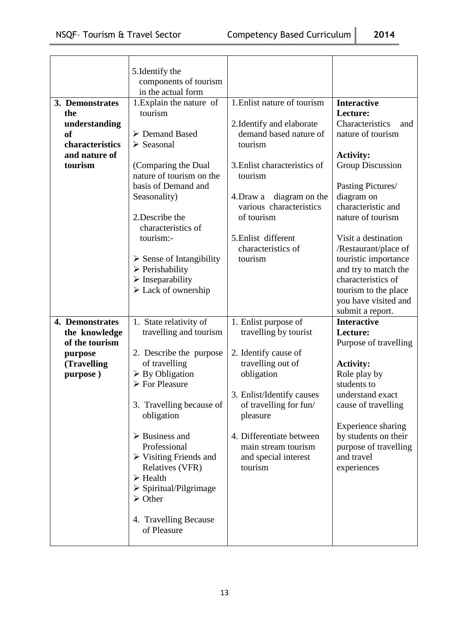|--|

|                                                                                                     | 5. Identify the<br>components of tourism<br>in the actual form                                                                                                                                                                                                                                                                                                                                                                                       |                                                                                                                                                                                                                                                                   |                                                                                                                                                                                                                                                           |
|-----------------------------------------------------------------------------------------------------|------------------------------------------------------------------------------------------------------------------------------------------------------------------------------------------------------------------------------------------------------------------------------------------------------------------------------------------------------------------------------------------------------------------------------------------------------|-------------------------------------------------------------------------------------------------------------------------------------------------------------------------------------------------------------------------------------------------------------------|-----------------------------------------------------------------------------------------------------------------------------------------------------------------------------------------------------------------------------------------------------------|
| 3. Demonstrates<br>the<br>understanding<br><b>of</b><br>characteristics<br>and nature of<br>tourism | 1. Explain the nature of<br>tourism<br>Demand Based<br>$\triangleright$ Seasonal<br>(Comparing the Dual<br>nature of tourism on the<br>basis of Demand and<br>Seasonality)<br>2. Describe the<br>characteristics of<br>tourism:-                                                                                                                                                                                                                     | 1. Enlist nature of tourism<br>2. Identify and elaborate<br>demand based nature of<br>tourism<br>3. Enlist characteristics of<br>tourism<br>diagram on the<br>4.Draw a<br>various characteristics<br>of tourism<br>5. Enlist different                            | <b>Interactive</b><br>Lecture:<br>Characteristics<br>and<br>nature of tourism<br><b>Activity:</b><br><b>Group Discussion</b><br>Pasting Pictures/<br>diagram on<br>characteristic and<br>nature of tourism<br>Visit a destination                         |
|                                                                                                     | $\triangleright$ Sense of Intangibility<br>$\triangleright$ Perishability<br>$\triangleright$ Inseparability<br>$\triangleright$ Lack of ownership                                                                                                                                                                                                                                                                                                   | characteristics of<br>tourism                                                                                                                                                                                                                                     | /Restaurant/place of<br>touristic importance<br>and try to match the<br>characteristics of<br>tourism to the place<br>you have visited and<br>submit a report.                                                                                            |
| 4. Demonstrates<br>the knowledge<br>of the tourism<br>purpose<br>(Travelling<br>purpose)            | 1. State relativity of<br>travelling and tourism<br>2. Describe the purpose<br>of travelling<br>$\triangleright$ By Obligation<br>> For Pleasure<br>3. Travelling because of<br>obligation<br>$\triangleright$ Business and<br>Professional<br>$\triangleright$ Visiting Friends and<br><b>Relatives (VFR)</b><br>$\triangleright$ Health<br>$\triangleright$ Spiritual/Pilgrimage<br>$\triangleright$ Other<br>4. Travelling Because<br>of Pleasure | 1. Enlist purpose of<br>travelling by tourist<br>2. Identify cause of<br>travelling out of<br>obligation<br>3. Enlist/Identify causes<br>of travelling for fun/<br>pleasure<br>4. Differentiate between<br>main stream tourism<br>and special interest<br>tourism | <b>Interactive</b><br>Lecture:<br>Purpose of travelling<br><b>Activity:</b><br>Role play by<br>students to<br>understand exact<br>cause of travelling<br>Experience sharing<br>by students on their<br>purpose of travelling<br>and travel<br>experiences |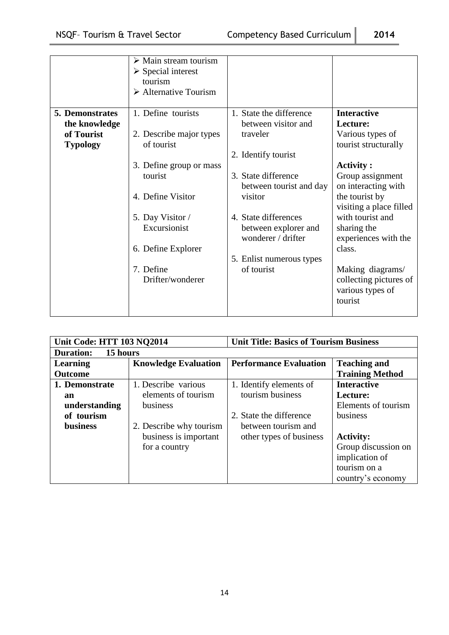|                             | $\triangleright$ Main stream tourism<br>$\triangleright$ Special interest<br>tourism<br>$\triangleright$ Alternative Tourism |                                                |                                |
|-----------------------------|------------------------------------------------------------------------------------------------------------------------------|------------------------------------------------|--------------------------------|
| <b>5. Demonstrates</b>      | 1. Define tourists                                                                                                           | 1. State the difference<br>between visitor and | <b>Interactive</b><br>Lecture: |
| the knowledge<br>of Tourist |                                                                                                                              |                                                |                                |
|                             | 2. Describe major types                                                                                                      | traveler                                       | Various types of               |
| <b>Typology</b>             | of tourist                                                                                                                   | 2. Identify tourist                            | tourist structurally           |
|                             | 3. Define group or mass                                                                                                      |                                                | <b>Activity:</b>               |
|                             | tourist                                                                                                                      | 3. State difference                            | Group assignment               |
|                             |                                                                                                                              | between tourist and day                        | on interacting with            |
|                             | 4. Define Visitor                                                                                                            | visitor                                        | the tourist by                 |
|                             |                                                                                                                              |                                                | visiting a place filled        |
|                             | 5. Day Visitor /                                                                                                             | 4. State differences                           | with tourist and               |
|                             | Excursionist                                                                                                                 | between explorer and                           | sharing the                    |
|                             |                                                                                                                              | wonderer / drifter                             | experiences with the           |
|                             | 6. Define Explorer                                                                                                           |                                                | class.                         |
|                             |                                                                                                                              | 5. Enlist numerous types                       |                                |
|                             | 7. Define                                                                                                                    | of tourist                                     | Making diagrams/               |
|                             | Drifter/wonderer                                                                                                             |                                                | collecting pictures of         |
|                             |                                                                                                                              |                                                | various types of               |
|                             |                                                                                                                              |                                                | tourist                        |
|                             |                                                                                                                              |                                                |                                |

| <b>Unit Code: HTT 103 NQ2014</b> |                             | <b>Unit Title: Basics of Tourism Business</b> |                        |  |  |
|----------------------------------|-----------------------------|-----------------------------------------------|------------------------|--|--|
| <b>Duration:</b>                 | 15 hours                    |                                               |                        |  |  |
| <b>Learning</b>                  | <b>Knowledge Evaluation</b> | <b>Performance Evaluation</b>                 | <b>Teaching and</b>    |  |  |
| <b>Outcome</b>                   |                             |                                               | <b>Training Method</b> |  |  |
| 1. Demonstrate                   | 1. Describe various         | 1. Identify elements of                       | <b>Interactive</b>     |  |  |
| an                               | elements of tourism         | tourism business                              | Lecture:               |  |  |
| understanding                    | business                    |                                               | Elements of tourism    |  |  |
| of tourism                       |                             | 2. State the difference                       | business               |  |  |
| <b>business</b>                  | 2. Describe why tourism     | between tourism and                           |                        |  |  |
|                                  | business is important       | other types of business                       | <b>Activity:</b>       |  |  |
|                                  | for a country               |                                               | Group discussion on    |  |  |
|                                  |                             |                                               | implication of         |  |  |
|                                  |                             |                                               | tourism on a           |  |  |
|                                  |                             |                                               | country's economy      |  |  |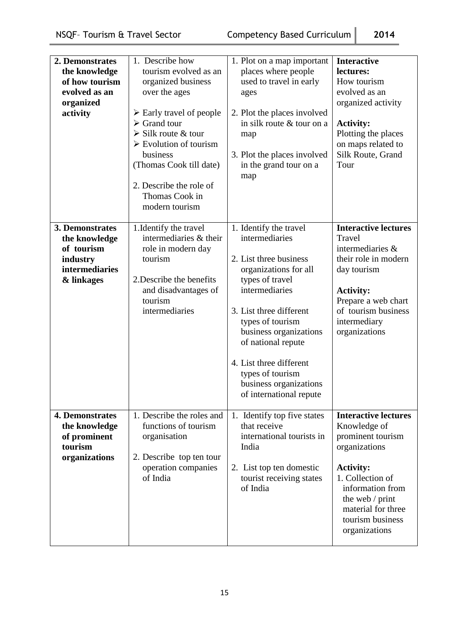| 2. Demonstrates<br>the knowledge<br>of how tourism<br>evolved as an<br>organized<br>activity | 1. Describe how<br>tourism evolved as an<br>organized business<br>over the ages<br>$\triangleright$ Early travel of people<br>$\triangleright$ Grand tour<br>$\triangleright$ Silk route & tour<br>$\triangleright$ Evolution of tourism<br>business<br>(Thomas Cook till date)<br>2. Describe the role of<br>Thomas Cook in<br>modern tourism | 1. Plot on a map important<br>places where people<br>used to travel in early<br>ages<br>2. Plot the places involved<br>in silk route & tour on a<br>map<br>3. Plot the places involved<br>in the grand tour on a<br>map                                                                                                             | <b>Interactive</b><br>lectures:<br>How tourism<br>evolved as an<br>organized activity<br><b>Activity:</b><br>Plotting the places<br>on maps related to<br>Silk Route, Grand<br>Tour                                         |
|----------------------------------------------------------------------------------------------|------------------------------------------------------------------------------------------------------------------------------------------------------------------------------------------------------------------------------------------------------------------------------------------------------------------------------------------------|-------------------------------------------------------------------------------------------------------------------------------------------------------------------------------------------------------------------------------------------------------------------------------------------------------------------------------------|-----------------------------------------------------------------------------------------------------------------------------------------------------------------------------------------------------------------------------|
| 3. Demonstrates<br>the knowledge<br>of tourism<br>industry<br>intermediaries<br>& linkages   | 1. Identify the travel<br>intermediaries & their<br>role in modern day<br>tourism<br>2. Describe the benefits<br>and disadvantages of<br>tourism<br>intermediaries                                                                                                                                                                             | 1. Identify the travel<br>intermediaries<br>2. List three business<br>organizations for all<br>types of travel<br>intermediaries<br>3. List three different<br>types of tourism<br>business organizations<br>of national repute<br>4. List three different<br>types of tourism<br>business organizations<br>of international repute | <b>Interactive lectures</b><br>Travel<br>intermediaries &<br>their role in modern<br>day tourism<br><b>Activity:</b><br>Prepare a web chart<br>of tourism business<br>intermediary<br>organizations                         |
| <b>4. Demonstrates</b><br>the knowledge<br>of prominent<br>tourism<br>organizations          | 1. Describe the roles and<br>functions of tourism<br>organisation<br>2. Describe top ten tour<br>operation companies<br>of India                                                                                                                                                                                                               | 1. Identify top five states<br>that receive<br>international tourists in<br>India<br>2. List top ten domestic<br>tourist receiving states<br>of India                                                                                                                                                                               | <b>Interactive lectures</b><br>Knowledge of<br>prominent tourism<br>organizations<br><b>Activity:</b><br>1. Collection of<br>information from<br>the web / print<br>material for three<br>tourism business<br>organizations |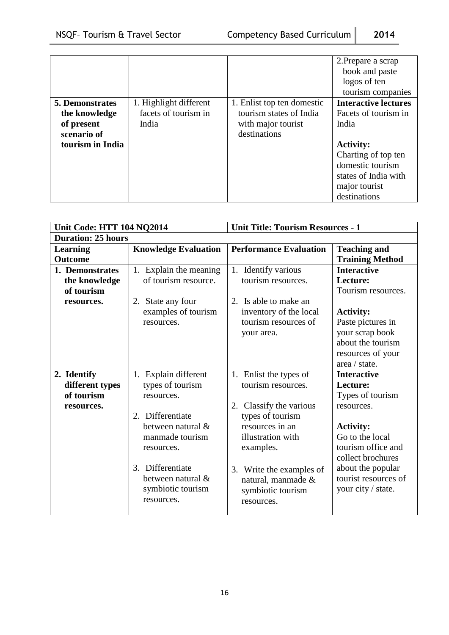|                        |                        |                            | 2. Prepare a scrap<br>book and paste<br>logos of ten<br>tourism companies |
|------------------------|------------------------|----------------------------|---------------------------------------------------------------------------|
| <b>5. Demonstrates</b> | 1. Highlight different | 1. Enlist top ten domestic | <b>Interactive lectures</b>                                               |
| the knowledge          | facets of tourism in   | tourism states of India    | Facets of tourism in                                                      |
| of present             | India                  | with major tourist         | India                                                                     |
| scenario of            |                        | destinations               |                                                                           |
| tourism in India       |                        |                            | <b>Activity:</b>                                                          |
|                        |                        |                            | Charting of top ten                                                       |
|                        |                        |                            | domestic tourism                                                          |
|                        |                        |                            | states of India with                                                      |
|                        |                        |                            | major tourist                                                             |
|                        |                        |                            | destinations                                                              |

| Unit Code: HTT 104 NQ2014                                    |                                                                                                                                                                                                                 | <b>Unit Title: Tourism Resources - 1</b>                                                                                                                                                                                                 |                                                                                                                                                                                                                       |  |
|--------------------------------------------------------------|-----------------------------------------------------------------------------------------------------------------------------------------------------------------------------------------------------------------|------------------------------------------------------------------------------------------------------------------------------------------------------------------------------------------------------------------------------------------|-----------------------------------------------------------------------------------------------------------------------------------------------------------------------------------------------------------------------|--|
| <b>Duration: 25 hours</b>                                    |                                                                                                                                                                                                                 |                                                                                                                                                                                                                                          |                                                                                                                                                                                                                       |  |
| Learning<br><b>Outcome</b>                                   | <b>Knowledge Evaluation</b>                                                                                                                                                                                     | <b>Performance Evaluation</b>                                                                                                                                                                                                            | <b>Teaching and</b><br><b>Training Method</b>                                                                                                                                                                         |  |
| 1. Demonstrates<br>the knowledge<br>of tourism<br>resources. | 1. Explain the meaning<br>of tourism resource.<br>2. State any four<br>examples of tourism<br>resources.                                                                                                        | 1. Identify various<br>tourism resources.<br>2. Is able to make an<br>inventory of the local<br>tourism resources of<br>your area.                                                                                                       | <b>Interactive</b><br>Lecture:<br>Tourism resources.<br><b>Activity:</b><br>Paste pictures in<br>your scrap book<br>about the tourism<br>resources of your<br>area / state.                                           |  |
| 2. Identify<br>different types<br>of tourism<br>resources.   | 1. Explain different<br>types of tourism<br>resources.<br>2. Differentiate<br>between natural &<br>manmade tourism<br>resources.<br>3. Differentiate<br>between natural $\&$<br>symbiotic tourism<br>resources. | 1. Enlist the types of<br>tourism resources.<br>Classify the various<br>2.<br>types of tourism<br>resources in an<br>illustration with<br>examples.<br>3. Write the examples of<br>natural, manmade &<br>symbiotic tourism<br>resources. | <b>Interactive</b><br>Lecture:<br>Types of tourism<br>resources.<br><b>Activity:</b><br>Go to the local<br>tourism office and<br>collect brochures<br>about the popular<br>tourist resources of<br>your city / state. |  |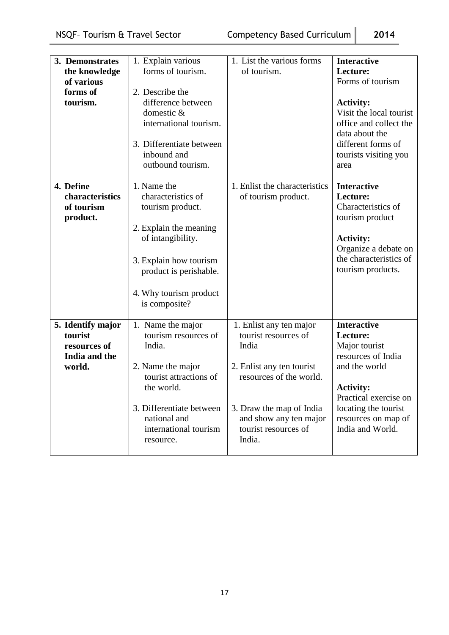| 3. Demonstrates<br>the knowledge<br>of various<br>forms of<br>tourism.  | 1. Explain various<br>forms of tourism.<br>2. Describe the<br>difference between<br>domestic &<br>international tourism.<br>3. Differentiate between<br>inbound and<br>outbound tourism.            | 1. List the various forms<br>of tourism.                                                                                                                                                                 | <b>Interactive</b><br>Lecture:<br>Forms of tourism<br><b>Activity:</b><br>Visit the local tourist<br>office and collect the<br>data about the<br>different forms of<br>tourists visiting you<br>area   |
|-------------------------------------------------------------------------|-----------------------------------------------------------------------------------------------------------------------------------------------------------------------------------------------------|----------------------------------------------------------------------------------------------------------------------------------------------------------------------------------------------------------|--------------------------------------------------------------------------------------------------------------------------------------------------------------------------------------------------------|
| 4. Define<br>characteristics<br>of tourism<br>product.                  | 1. Name the<br>characteristics of<br>tourism product.<br>2. Explain the meaning<br>of intangibility.<br>3. Explain how tourism<br>product is perishable.<br>4. Why tourism product<br>is composite? | 1. Enlist the characteristics<br>of tourism product.                                                                                                                                                     | <b>Interactive</b><br>Lecture:<br>Characteristics of<br>tourism product<br><b>Activity:</b><br>Organize a debate on<br>the characteristics of<br>tourism products.                                     |
| 5. Identify major<br>tourist<br>resources of<br>India and the<br>world. | 1. Name the major<br>tourism resources of<br>India.<br>2. Name the major<br>tourist attractions of<br>the world.<br>3. Differentiate between<br>national and<br>international tourism<br>resource.  | 1. Enlist any ten major<br>tourist resources of<br>India<br>2. Enlist any ten tourist<br>resources of the world.<br>3. Draw the map of India<br>and show any ten major<br>tourist resources of<br>India. | <b>Interactive</b><br>Lecture:<br>Major tourist<br>resources of India<br>and the world<br><b>Activity:</b><br>Practical exercise on<br>locating the tourist<br>resources on map of<br>India and World. |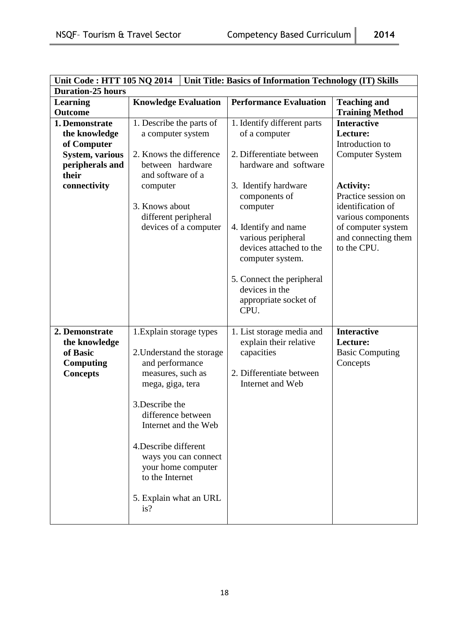| Unit Code: HTT 105 NQ 2014<br>Unit Title: Basics of Information Technology (IT) Skills                               |                                                                                                                                                                                                                                                                                                               |                                                                                                                                                                                                                                                                                                                                     |                                                                                                                                                                                                                               |
|----------------------------------------------------------------------------------------------------------------------|---------------------------------------------------------------------------------------------------------------------------------------------------------------------------------------------------------------------------------------------------------------------------------------------------------------|-------------------------------------------------------------------------------------------------------------------------------------------------------------------------------------------------------------------------------------------------------------------------------------------------------------------------------------|-------------------------------------------------------------------------------------------------------------------------------------------------------------------------------------------------------------------------------|
| <b>Duration-25 hours</b>                                                                                             |                                                                                                                                                                                                                                                                                                               |                                                                                                                                                                                                                                                                                                                                     |                                                                                                                                                                                                                               |
| <b>Learning</b>                                                                                                      | <b>Knowledge Evaluation</b>                                                                                                                                                                                                                                                                                   | <b>Performance Evaluation</b>                                                                                                                                                                                                                                                                                                       | <b>Teaching and</b>                                                                                                                                                                                                           |
| <b>Outcome</b>                                                                                                       |                                                                                                                                                                                                                                                                                                               |                                                                                                                                                                                                                                                                                                                                     | <b>Training Method</b>                                                                                                                                                                                                        |
| 1. Demonstrate<br>the knowledge<br>of Computer<br><b>System, various</b><br>peripherals and<br>their<br>connectivity | 1. Describe the parts of<br>a computer system<br>2. Knows the difference<br>between hardware<br>and software of a<br>computer<br>3. Knows about<br>different peripheral<br>devices of a computer                                                                                                              | 1. Identify different parts<br>of a computer<br>2. Differentiate between<br>hardware and software<br>3. Identify hardware<br>components of<br>computer<br>4. Identify and name<br>various peripheral<br>devices attached to the<br>computer system.<br>5. Connect the peripheral<br>devices in the<br>appropriate socket of<br>CPU. | <b>Interactive</b><br>Lecture:<br>Introduction to<br><b>Computer System</b><br><b>Activity:</b><br>Practice session on<br>identification of<br>various components<br>of computer system<br>and connecting them<br>to the CPU. |
| 2. Demonstrate<br>the knowledge<br>of Basic<br><b>Computing</b><br><b>Concepts</b>                                   | 1. Explain storage types<br>2. Understand the storage<br>and performance<br>measures, such as<br>mega, giga, tera<br>3. Describe the<br>difference between<br>Internet and the Web<br>4. Describe different<br>ways you can connect<br>your home computer<br>to the Internet<br>5. Explain what an URL<br>is? | 1. List storage media and<br>explain their relative<br>capacities<br>2. Differentiate between<br>Internet and Web                                                                                                                                                                                                                   | <b>Interactive</b><br>Lecture:<br><b>Basic Computing</b><br>Concepts                                                                                                                                                          |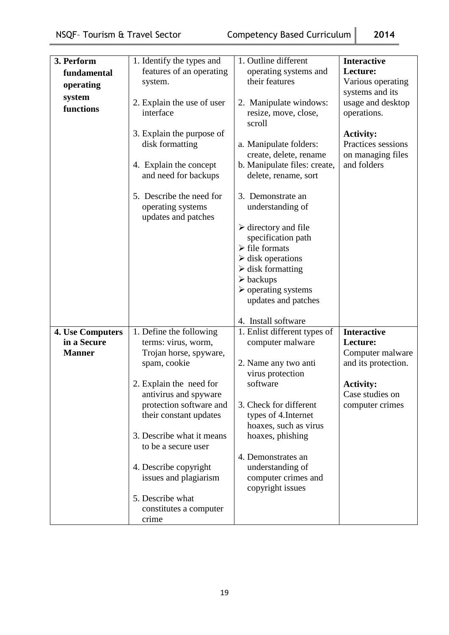| 3. Perform       | 1. Identify the types and                                              | 1. Outline different                                                             | <b>Interactive</b>                                                         |
|------------------|------------------------------------------------------------------------|----------------------------------------------------------------------------------|----------------------------------------------------------------------------|
| fundamental      | features of an operating                                               | operating systems and                                                            | Lecture:                                                                   |
| operating        | system.                                                                | their features                                                                   | Various operating                                                          |
| system           |                                                                        |                                                                                  | systems and its                                                            |
|                  | 2. Explain the use of user                                             | 2. Manipulate windows:                                                           | usage and desktop                                                          |
| functions        | interface                                                              | resize, move, close,<br>scroll                                                   | operations.                                                                |
|                  | 3. Explain the purpose of<br>disk formatting<br>4. Explain the concept | a. Manipulate folders:<br>create, delete, rename<br>b. Manipulate files: create, | <b>Activity:</b><br>Practices sessions<br>on managing files<br>and folders |
|                  | and need for backups                                                   | delete, rename, sort                                                             |                                                                            |
|                  | 5. Describe the need for<br>operating systems                          | 3. Demonstrate an<br>understanding of                                            |                                                                            |
|                  | updates and patches                                                    |                                                                                  |                                                                            |
|                  |                                                                        | $\triangleright$ directory and file                                              |                                                                            |
|                  |                                                                        | specification path                                                               |                                                                            |
|                  |                                                                        | $\triangleright$ file formats                                                    |                                                                            |
|                  |                                                                        | $\triangleright$ disk operations                                                 |                                                                            |
|                  |                                                                        | $\triangleright$ disk formatting                                                 |                                                                            |
|                  |                                                                        | $\triangleright$ backups                                                         |                                                                            |
|                  |                                                                        | $\triangleright$ operating systems                                               |                                                                            |
|                  |                                                                        | updates and patches                                                              |                                                                            |
|                  |                                                                        | 4. Install software                                                              |                                                                            |
| 4. Use Computers | 1. Define the following                                                | 1. Enlist different types of                                                     | <b>Interactive</b>                                                         |
| in a Secure      | terms: virus, worm,                                                    | computer malware                                                                 | Lecture:                                                                   |
| <b>Manner</b>    | Trojan horse, spyware,                                                 |                                                                                  | Computer malware                                                           |
|                  | spam, cookie                                                           | 2. Name any two anti<br>virus protection                                         | and its protection.                                                        |
|                  | 2. Explain the need for                                                | software                                                                         | <b>Activity:</b>                                                           |
|                  | antivirus and spyware                                                  |                                                                                  | Case studies on                                                            |
|                  | protection software and                                                | 3. Check for different                                                           | computer crimes                                                            |
|                  | their constant updates                                                 | types of 4. Internet                                                             |                                                                            |
|                  |                                                                        | hoaxes, such as virus                                                            |                                                                            |
|                  | 3. Describe what it means                                              | hoaxes, phishing                                                                 |                                                                            |
|                  | to be a secure user                                                    |                                                                                  |                                                                            |
|                  |                                                                        | 4. Demonstrates an                                                               |                                                                            |
|                  | 4. Describe copyright                                                  | understanding of                                                                 |                                                                            |
|                  | issues and plagiarism                                                  | computer crimes and                                                              |                                                                            |
|                  |                                                                        | copyright issues                                                                 |                                                                            |
|                  | 5. Describe what                                                       |                                                                                  |                                                                            |
|                  | constitutes a computer                                                 |                                                                                  |                                                                            |
|                  | crime                                                                  |                                                                                  |                                                                            |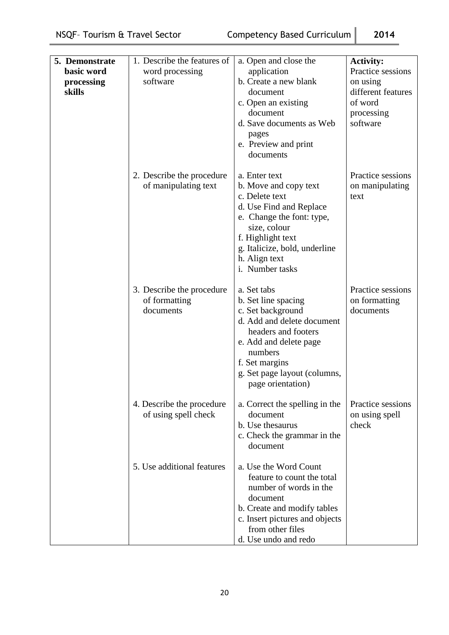| 5. Demonstrate<br>basic word<br>processing<br>skills | 1. Describe the features of<br>word processing<br>software | a. Open and close the<br>application<br>b. Create a new blank<br>document<br>c. Open an existing<br>document<br>d. Save documents as Web<br>pages<br>e. Preview and print<br>documents                                     | <b>Activity:</b><br>Practice sessions<br>on using<br>different features<br>of word<br>processing<br>software |
|------------------------------------------------------|------------------------------------------------------------|----------------------------------------------------------------------------------------------------------------------------------------------------------------------------------------------------------------------------|--------------------------------------------------------------------------------------------------------------|
|                                                      | 2. Describe the procedure<br>of manipulating text          | a. Enter text<br>b. Move and copy text<br>c. Delete text<br>d. Use Find and Replace<br>e. Change the font: type,<br>size, colour<br>f. Highlight text<br>g. Italicize, bold, underline<br>h. Align text<br>i. Number tasks | Practice sessions<br>on manipulating<br>text                                                                 |
|                                                      | 3. Describe the procedure<br>of formatting<br>documents    | a. Set tabs<br>b. Set line spacing<br>c. Set background<br>d. Add and delete document<br>headers and footers<br>e. Add and delete page<br>numbers<br>f. Set margins<br>g. Set page layout (columns,<br>page orientation)   | Practice sessions<br>on formatting<br>documents                                                              |
|                                                      | 4. Describe the procedure<br>of using spell check          | a. Correct the spelling in the<br>document<br>b. Use thesaurus<br>c. Check the grammar in the<br>document                                                                                                                  | Practice sessions<br>on using spell<br>check                                                                 |
|                                                      | 5. Use additional features                                 | a. Use the Word Count<br>feature to count the total<br>number of words in the<br>document<br>b. Create and modify tables<br>c. Insert pictures and objects<br>from other files<br>d. Use undo and redo                     |                                                                                                              |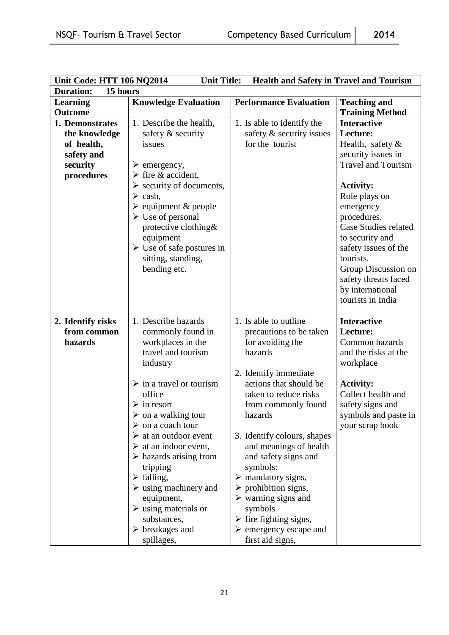| <b>Unit Code: HTT 106 NQ2014</b><br><b>Unit Title:</b><br><b>Health and Safety in Travel and Tourism</b> |                                          |                                       |                           |
|----------------------------------------------------------------------------------------------------------|------------------------------------------|---------------------------------------|---------------------------|
| <b>Duration:</b><br>15 hours                                                                             |                                          |                                       |                           |
| <b>Learning</b>                                                                                          | <b>Knowledge Evaluation</b>              | <b>Performance Evaluation</b>         | <b>Teaching and</b>       |
| <b>Outcome</b>                                                                                           |                                          |                                       | <b>Training Method</b>    |
| 1. Demonstrates                                                                                          | 1. Describe the health,                  | 1. Is able to identify the            | <b>Interactive</b>        |
| the knowledge                                                                                            | safety & security                        | safety & security issues              | Lecture:                  |
| of health,                                                                                               | issues                                   | for the tourist                       | Health, safety &          |
| safety and                                                                                               |                                          |                                       | security issues in        |
| security                                                                                                 | $\triangleright$ emergency,              |                                       | <b>Travel and Tourism</b> |
| procedures                                                                                               | $\triangleright$ fire & accident,        |                                       |                           |
|                                                                                                          | $\triangleright$ security of documents,  |                                       | <b>Activity:</b>          |
|                                                                                                          | $\triangleright$ cash,                   |                                       | Role plays on             |
|                                                                                                          | $\triangleright$ equipment & people      |                                       | emergency                 |
|                                                                                                          | $\triangleright$ Use of personal         |                                       | procedures.               |
|                                                                                                          | protective clothing&                     |                                       | Case Studies related      |
|                                                                                                          | equipment                                |                                       | to security and           |
|                                                                                                          | $\triangleright$ Use of safe postures in |                                       | safety issues of the      |
|                                                                                                          | sitting, standing,                       |                                       | tourists.                 |
|                                                                                                          | bending etc.                             |                                       | Group Discussion on       |
|                                                                                                          |                                          |                                       | safety threats faced      |
|                                                                                                          |                                          |                                       | by international          |
|                                                                                                          |                                          |                                       | tourists in India         |
|                                                                                                          |                                          |                                       |                           |
| 2. Identify risks                                                                                        | 1. Describe hazards                      | 1. Is able to outline                 | <b>Interactive</b>        |
| from common                                                                                              | commonly found in                        | precautions to be taken               | Lecture:                  |
| hazards                                                                                                  | workplaces in the                        | for avoiding the                      | Common hazards            |
|                                                                                                          | travel and tourism                       | hazards                               | and the risks at the      |
|                                                                                                          | industry                                 |                                       | workplace                 |
|                                                                                                          |                                          | 2. Identify immediate                 |                           |
|                                                                                                          | $\triangleright$ in a travel or tourism  | actions that should be                | <b>Activity:</b>          |
|                                                                                                          | office                                   | taken to reduce risks                 | Collect health and        |
|                                                                                                          | $\triangleright$ in resort               | from commonly found                   | safety signs and          |
|                                                                                                          | $\triangleright$ on a walking tour       | hazards                               | symbols and paste in      |
|                                                                                                          | $\triangleright$ on a coach tour         |                                       | your scrap book           |
|                                                                                                          | $\triangleright$ at an outdoor event     | 3. Identify colours, shapes           |                           |
|                                                                                                          | $\triangleright$ at an indoor event,     | and meanings of health                |                           |
|                                                                                                          | $\triangleright$ hazards arising from    | and safety signs and                  |                           |
|                                                                                                          | tripping                                 | symbols:                              |                           |
|                                                                                                          | $\triangleright$ falling,                | $\triangleright$ mandatory signs,     |                           |
|                                                                                                          | $\triangleright$ using machinery and     | $\triangleright$ prohibition signs,   |                           |
|                                                                                                          | equipment,                               | $\triangleright$ warning signs and    |                           |
|                                                                                                          | $\triangleright$ using materials or      | symbols                               |                           |
|                                                                                                          | substances,                              | $\triangleright$ fire fighting signs, |                           |
|                                                                                                          | $\triangleright$ breakages and           | $\triangleright$ emergency escape and |                           |
|                                                                                                          | spillages,                               | first aid signs,                      |                           |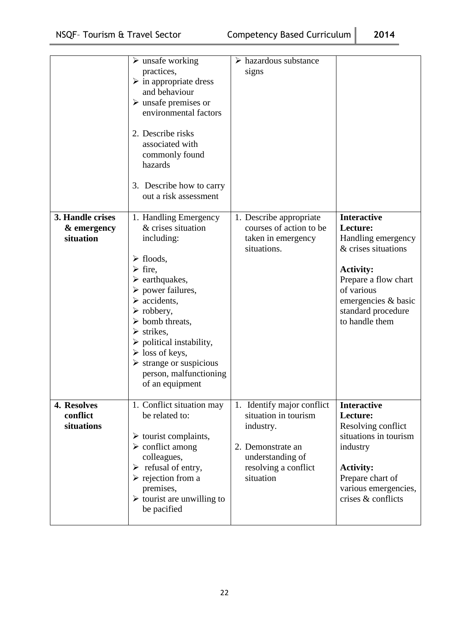|                                              | $\triangleright$ unsafe working<br>practices,<br>$\triangleright$ in appropriate dress<br>and behaviour<br>$\triangleright$ unsafe premises or<br>environmental factors<br>2. Describe risks<br>associated with<br>commonly found<br>hazards<br>3. Describe how to carry<br>out a risk assessment                                                                                                                                                                                   | $\triangleright$ hazardous substance<br>signs                                                                                                 |                                                                                                                                                                                                      |
|----------------------------------------------|-------------------------------------------------------------------------------------------------------------------------------------------------------------------------------------------------------------------------------------------------------------------------------------------------------------------------------------------------------------------------------------------------------------------------------------------------------------------------------------|-----------------------------------------------------------------------------------------------------------------------------------------------|------------------------------------------------------------------------------------------------------------------------------------------------------------------------------------------------------|
| 3. Handle crises<br>& emergency<br>situation | 1. Handling Emergency<br>& crises situation<br>including:<br>$\triangleright$ floods,<br>$\triangleright$ fire,<br>$\triangleright$ earthquakes,<br>$\triangleright$ power failures,<br>$\triangleright$ accidents,<br>$\triangleright$ robbery,<br>$\triangleright$ bomb threats,<br>$\triangleright$ strikes,<br>$\triangleright$ political instability,<br>$\triangleright$ loss of keys,<br>$\triangleright$ strange or suspicious<br>person, malfunctioning<br>of an equipment | 1. Describe appropriate<br>courses of action to be<br>taken in emergency<br>situations.                                                       | <b>Interactive</b><br>Lecture:<br>Handling emergency<br>& crises situations<br><b>Activity:</b><br>Prepare a flow chart<br>of various<br>emergencies & basic<br>standard procedure<br>to handle them |
| 4. Resolves<br>conflict<br>situations        | $\overline{1}$ . Conflict situation may<br>be related to:<br>$\triangleright$ tourist complaints,<br>$\triangleright$ conflict among<br>colleagues,<br>$\triangleright$ refusal of entry,<br>$\triangleright$ rejection from a<br>premises,<br>$\triangleright$ tourist are unwilling to<br>be pacified                                                                                                                                                                             | 1. Identify major conflict<br>situation in tourism<br>industry.<br>2. Demonstrate an<br>understanding of<br>resolving a conflict<br>situation | <b>Interactive</b><br>Lecture:<br>Resolving conflict<br>situations in tourism<br>industry<br><b>Activity:</b><br>Prepare chart of<br>various emergencies,<br>crises & conflicts                      |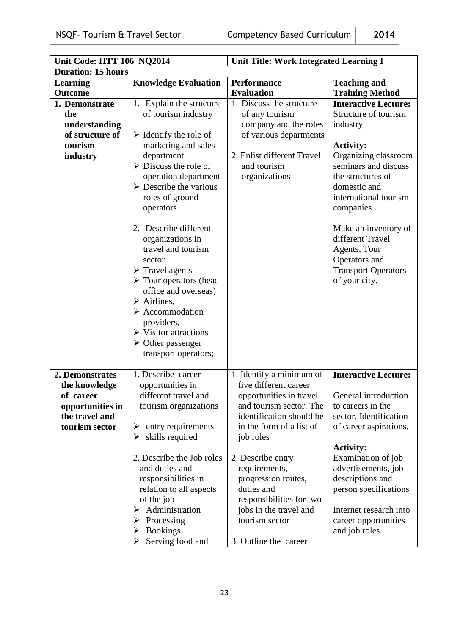| Unit Code: HTT 106 NQ2014 |                                       | Unit Title: Work Integrated Learning I |                             |
|---------------------------|---------------------------------------|----------------------------------------|-----------------------------|
| <b>Duration: 15 hours</b> |                                       |                                        |                             |
| Learning                  | <b>Knowledge Evaluation</b>           | <b>Performance</b>                     | <b>Teaching and</b>         |
| <b>Outcome</b>            |                                       | <b>Evaluation</b>                      | <b>Training Method</b>      |
| 1. Demonstrate            | 1. Explain the structure              | 1. Discuss the structure               | <b>Interactive Lecture:</b> |
| the                       | of tourism industry                   | of any tourism                         | Structure of tourism        |
| understanding             |                                       | company and the roles                  | industry                    |
| of structure of           | $\triangleright$ Identify the role of | of various departments                 |                             |
| tourism                   | marketing and sales                   |                                        | <b>Activity:</b>            |
| industry                  | department                            | 2. Enlist different Travel             | Organizing classroom        |
|                           | $\triangleright$ Discuss the role of  | and tourism                            | seminars and discuss        |
|                           | operation department                  | organizations                          | the structures of           |
|                           | $\triangleright$ Describe the various |                                        | domestic and                |
|                           | roles of ground                       |                                        | international tourism       |
|                           | operators                             |                                        | companies                   |
|                           |                                       |                                        |                             |
|                           | 2. Describe different                 |                                        | Make an inventory of        |
|                           | organizations in                      |                                        | different Travel            |
|                           | travel and tourism                    |                                        | Agents, Tour                |
|                           | sector                                |                                        | Operators and               |
|                           | $\triangleright$ Travel agents        |                                        | <b>Transport Operators</b>  |
|                           | $\triangleright$ Tour operators (head |                                        | of your city.               |
|                           | office and overseas)                  |                                        |                             |
|                           | $\triangleright$ Airlines,            |                                        |                             |
|                           | $\triangleright$ Accommodation        |                                        |                             |
|                           | providers,                            |                                        |                             |
|                           | $\triangleright$ Visitor attractions  |                                        |                             |
|                           | $\triangleright$ Other passenger      |                                        |                             |
|                           | transport operators;                  |                                        |                             |
|                           |                                       |                                        |                             |
| 2. Demonstrates           | 1. Describe career                    | 1. Identify a minimum of               | <b>Interactive Lecture:</b> |
| the knowledge             | opportunities in                      | five different career                  |                             |
| of career                 | different travel and                  | opportunities in travel                | General introduction        |
| opportunities in          | tourism organizations                 | and tourism sector. The                | to careers in the           |
| the travel and            |                                       | identification should be               | sector. Identification      |
| tourism sector            | $\triangleright$ entry requirements   | in the form of a list of               | of career aspirations.      |
|                           | skills required<br>➤                  | job roles                              |                             |
|                           |                                       |                                        | <b>Activity:</b>            |
|                           | 2. Describe the Job roles             | 2. Describe entry                      | Examination of job          |
|                           | and duties and                        | requirements,                          | advertisements, job         |
|                           | responsibilities in                   | progression routes,                    | descriptions and            |
|                           | relation to all aspects               | duties and                             | person specifications       |
|                           | of the job                            | responsibilities for two               |                             |
|                           | $\triangleright$ Administration       | jobs in the travel and                 | Internet research into      |
|                           | Processing<br>➤                       | tourism sector                         | career opportunities        |
|                           | $\triangleright$ Bookings             |                                        | and job roles.              |
|                           | Serving food and<br>➤                 | 3. Outline the career                  |                             |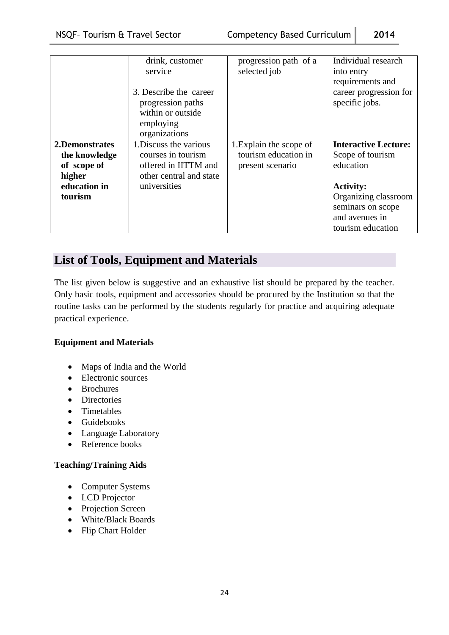|                                                          | drink, customer<br>service<br>3. Describe the career<br>progression paths<br>within or outside  | progression path of a<br>selected job                               | Individual research<br>into entry<br>requirements and<br>career progression for<br>specific jobs.    |
|----------------------------------------------------------|-------------------------------------------------------------------------------------------------|---------------------------------------------------------------------|------------------------------------------------------------------------------------------------------|
|                                                          | employing<br>organizations                                                                      |                                                                     |                                                                                                      |
| 2.Demonstrates<br>the knowledge<br>of scope of<br>higher | 1. Discuss the various<br>courses in tourism<br>offered in IITTM and<br>other central and state | 1. Explain the scope of<br>tourism education in<br>present scenario | <b>Interactive Lecture:</b><br>Scope of tourism<br>education                                         |
| education in<br>tourism                                  | universities                                                                                    |                                                                     | <b>Activity:</b><br>Organizing classroom<br>seminars on scope<br>and avenues in<br>tourism education |

## **List of Tools, Equipment and Materials**

The list given below is suggestive and an exhaustive list should be prepared by the teacher. Only basic tools, equipment and accessories should be procured by the Institution so that the routine tasks can be performed by the students regularly for practice and acquiring adequate practical experience.

#### **Equipment and Materials**

- Maps of India and the World
- Electronic sources
- Brochures
- Directories
- Timetables
- Guidebooks
- Language Laboratory
- Reference books

#### **Teaching/Training Aids**

- Computer Systems
- LCD Projector
- Projection Screen
- White/Black Boards
- Flip Chart Holder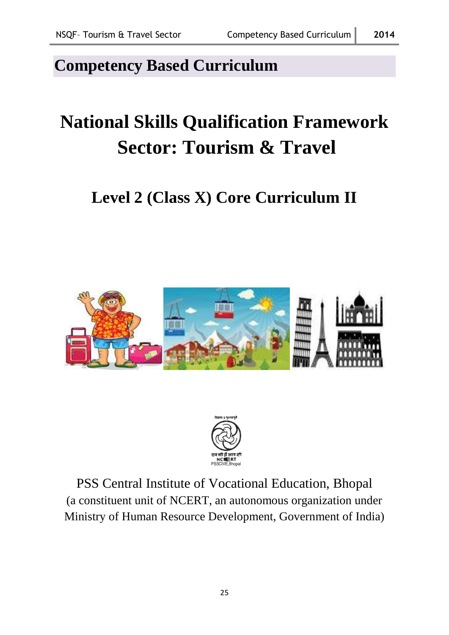## **Competency Based Curriculum**

# **National Skills Qualification Framework Sector: Tourism & Travel**

## **Level 2 (Class X) Core Curriculum II**





PSS Central Institute of Vocational Education, Bhopal (a constituent unit of NCERT, an autonomous organization under Ministry of Human Resource Development, Government of India)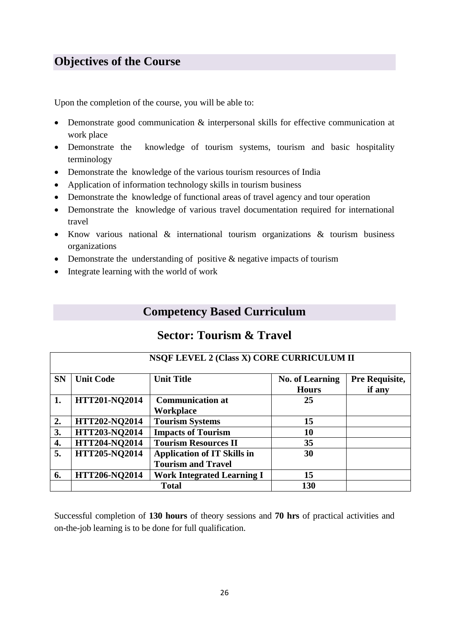## **Objectives of the Course**

Upon the completion of the course, you will be able to:

- Demonstrate good communication  $\&$  interpersonal skills for effective communication at work place
- Demonstrate the knowledge of tourism systems, tourism and basic hospitality terminology
- Demonstrate the knowledge of the various tourism resources of India
- Application of information technology skills in tourism business
- Demonstrate the knowledge of functional areas of travel agency and tour operation
- Demonstrate the knowledge of various travel documentation required for international travel
- Know various national & international tourism organizations & tourism business organizations
- Demonstrate the understanding of positive  $\&$  negative impacts of tourism
- Integrate learning with the world of work

## **Competency Based Curriculum**

## **Sector: Tourism & Travel**

|           | NSQF LEVEL 2 (Class X) CORE CURRICULUM II |                                    |                        |                |
|-----------|-------------------------------------------|------------------------------------|------------------------|----------------|
| <b>SN</b> | <b>Unit Code</b>                          | <b>Unit Title</b>                  | <b>No. of Learning</b> | Pre Requisite, |
|           |                                           |                                    | <b>Hours</b>           | if any         |
| 1.        | HTT201-NQ2014                             | <b>Communication at</b>            | 25                     |                |
|           |                                           | Workplace                          |                        |                |
| 2.        | HTT202-NQ2014                             | <b>Tourism Systems</b>             | 15                     |                |
| 3.        | HTT203-NQ2014                             | <b>Impacts of Tourism</b>          | 10                     |                |
| 4.        | <b>HTT204-NQ2014</b>                      | <b>Tourism Resources II</b>        | 35                     |                |
| 5.        | <b>HTT205-NQ2014</b>                      | <b>Application of IT Skills in</b> | 30                     |                |
|           |                                           | <b>Tourism and Travel</b>          |                        |                |
| 6.        | HTT206-NQ2014                             | <b>Work Integrated Learning I</b>  | 15                     |                |
|           |                                           | <b>Total</b>                       | 130                    |                |

Successful completion of **130 hours** of theory sessions and **70 hrs** of practical activities and on-the-job learning is to be done for full qualification.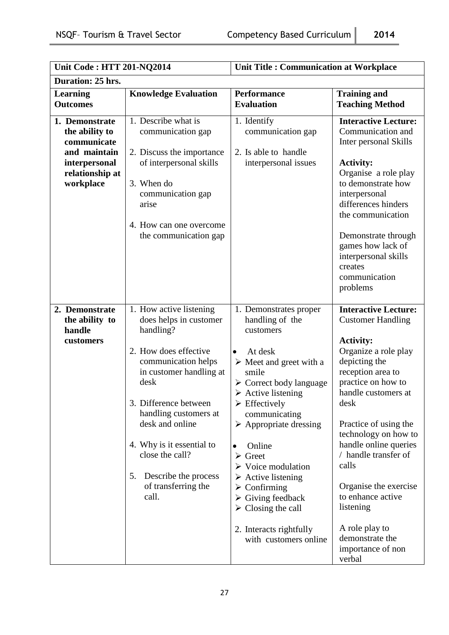|                                                                                                                  | <b>Unit Code: HTT 201-NQ2014</b><br><b>Unit Title: Communication at Workplace</b>                                                                                                                                                                                                                                                    |                                                                                                                                                                                                                                                                                                                                                                                                                                                                                                                                                             |                                                                                                                                                                                                                                                                                                                                                                                                                                          |
|------------------------------------------------------------------------------------------------------------------|--------------------------------------------------------------------------------------------------------------------------------------------------------------------------------------------------------------------------------------------------------------------------------------------------------------------------------------|-------------------------------------------------------------------------------------------------------------------------------------------------------------------------------------------------------------------------------------------------------------------------------------------------------------------------------------------------------------------------------------------------------------------------------------------------------------------------------------------------------------------------------------------------------------|------------------------------------------------------------------------------------------------------------------------------------------------------------------------------------------------------------------------------------------------------------------------------------------------------------------------------------------------------------------------------------------------------------------------------------------|
| Duration: 25 hrs.                                                                                                |                                                                                                                                                                                                                                                                                                                                      |                                                                                                                                                                                                                                                                                                                                                                                                                                                                                                                                                             |                                                                                                                                                                                                                                                                                                                                                                                                                                          |
| <b>Learning</b><br><b>Outcomes</b>                                                                               | <b>Knowledge Evaluation</b>                                                                                                                                                                                                                                                                                                          | <b>Performance</b><br><b>Evaluation</b>                                                                                                                                                                                                                                                                                                                                                                                                                                                                                                                     | <b>Training and</b><br><b>Teaching Method</b>                                                                                                                                                                                                                                                                                                                                                                                            |
| 1. Demonstrate<br>the ability to<br>communicate<br>and maintain<br>interpersonal<br>relationship at<br>workplace | 1. Describe what is<br>communication gap<br>2. Discuss the importance<br>of interpersonal skills<br>3. When do<br>communication gap<br>arise<br>4. How can one overcome<br>the communication gap                                                                                                                                     | 1. Identify<br>communication gap<br>2. Is able to handle<br>interpersonal issues                                                                                                                                                                                                                                                                                                                                                                                                                                                                            | <b>Interactive Lecture:</b><br>Communication and<br>Inter personal Skills<br><b>Activity:</b><br>Organise a role play<br>to demonstrate how<br>interpersonal<br>differences hinders<br>the communication<br>Demonstrate through<br>games how lack of<br>interpersonal skills<br>creates<br>communication<br>problems                                                                                                                     |
| 2. Demonstrate<br>the ability to<br>handle<br>customers                                                          | 1. How active listening<br>does helps in customer<br>handling?<br>2. How does effective<br>communication helps<br>in customer handling at<br>desk<br>3. Difference between<br>handling customers at<br>desk and online<br>4. Why is it essential to<br>close the call?<br>Describe the process<br>5.<br>of transferring the<br>call. | 1. Demonstrates proper<br>handling of the<br>customers<br>At desk<br>$\triangleright$ Meet and greet with a<br>smile<br>$\triangleright$ Correct body language<br>$\triangleright$ Active listening<br>$\triangleright$ Effectively<br>communicating<br>$\triangleright$ Appropriate dressing<br>Online<br>Greet<br>➤<br>$\triangleright$ Voice modulation<br>$\triangleright$ Active listening<br>$\triangleright$ Confirming<br>$\triangleright$ Giving feedback<br>$\triangleright$ Closing the call<br>2. Interacts rightfully<br>with customers online | <b>Interactive Lecture:</b><br><b>Customer Handling</b><br><b>Activity:</b><br>Organize a role play<br>depicting the<br>reception area to<br>practice on how to<br>handle customers at<br>desk<br>Practice of using the<br>technology on how to<br>handle online queries<br>/ handle transfer of<br>calls<br>Organise the exercise<br>to enhance active<br>listening<br>A role play to<br>demonstrate the<br>importance of non<br>verbal |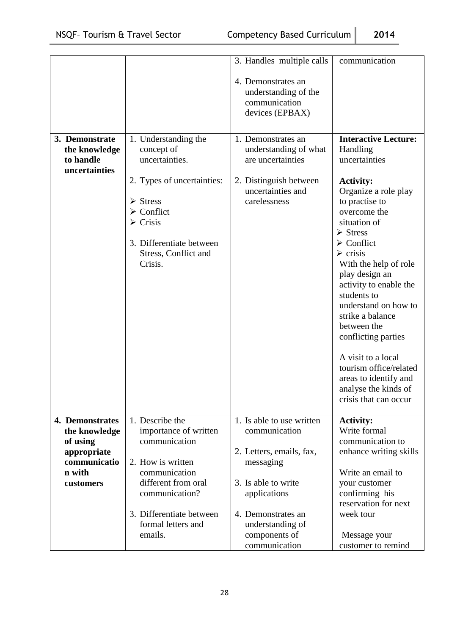|                                                                                                    |                                                                                                                                                                                                                                      |                                                                                                                                                  | communication                                                                                                                                                                                                                                                                                                                                                                                                                                                                                                                             |
|----------------------------------------------------------------------------------------------------|--------------------------------------------------------------------------------------------------------------------------------------------------------------------------------------------------------------------------------------|--------------------------------------------------------------------------------------------------------------------------------------------------|-------------------------------------------------------------------------------------------------------------------------------------------------------------------------------------------------------------------------------------------------------------------------------------------------------------------------------------------------------------------------------------------------------------------------------------------------------------------------------------------------------------------------------------------|
|                                                                                                    |                                                                                                                                                                                                                                      | 3. Handles multiple calls                                                                                                                        |                                                                                                                                                                                                                                                                                                                                                                                                                                                                                                                                           |
|                                                                                                    |                                                                                                                                                                                                                                      | 4. Demonstrates an<br>understanding of the<br>communication<br>devices (EPBAX)                                                                   |                                                                                                                                                                                                                                                                                                                                                                                                                                                                                                                                           |
| 3. Demonstrate<br>the knowledge<br>to handle<br>uncertainties                                      | 1. Understanding the<br>concept of<br>uncertainties.<br>2. Types of uncertainties:<br>$\triangleright$ Stress<br>$\triangleright$ Conflict<br>$\triangleright$ Crisis<br>3. Differentiate between<br>Stress, Conflict and<br>Crisis. | 1. Demonstrates an<br>understanding of what<br>are uncertainties<br>2. Distinguish between<br>uncertainties and<br>carelessness                  | <b>Interactive Lecture:</b><br>Handling<br>uncertainties<br><b>Activity:</b><br>Organize a role play<br>to practise to<br>overcome the<br>situation of<br>$\triangleright$ Stress<br>$\triangleright$ Conflict<br>$\triangleright$ crisis<br>With the help of role<br>play design an<br>activity to enable the<br>students to<br>understand on how to<br>strike a balance<br>between the<br>conflicting parties<br>A visit to a local<br>tourism office/related<br>areas to identify and<br>analyse the kinds of<br>crisis that can occur |
| 4. Demonstrates<br>the knowledge<br>of using<br>appropriate<br>communicatio<br>n with<br>customers | 1. Describe the<br>importance of written<br>communication<br>2. How is written<br>communication<br>different from oral<br>communication?<br>3. Differentiate between                                                                 | 1. Is able to use written<br>communication<br>2. Letters, emails, fax,<br>messaging<br>3. Is able to write<br>applications<br>4. Demonstrates an | <b>Activity:</b><br>Write formal<br>communication to<br>enhance writing skills<br>Write an email to<br>your customer<br>confirming his<br>reservation for next<br>week tour                                                                                                                                                                                                                                                                                                                                                               |
|                                                                                                    | formal letters and<br>emails.                                                                                                                                                                                                        | understanding of<br>components of<br>communication                                                                                               | Message your<br>customer to remind                                                                                                                                                                                                                                                                                                                                                                                                                                                                                                        |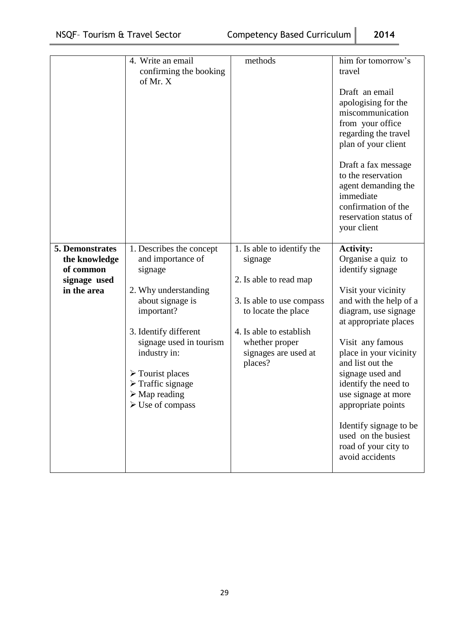|                                                                                     | 4. Write an email<br>confirming the booking<br>of Mr. X                                                                                                                                                                                                                                                                          | methods                                                                                                                                                                                             | him for tomorrow's<br>travel<br>Draft an email<br>apologising for the<br>miscommunication<br>from your office<br>regarding the travel<br>plan of your client<br>Draft a fax message<br>to the reservation<br>agent demanding the<br>immediate<br>confirmation of the<br>reservation status of<br>your client                                                                                                        |
|-------------------------------------------------------------------------------------|----------------------------------------------------------------------------------------------------------------------------------------------------------------------------------------------------------------------------------------------------------------------------------------------------------------------------------|-----------------------------------------------------------------------------------------------------------------------------------------------------------------------------------------------------|---------------------------------------------------------------------------------------------------------------------------------------------------------------------------------------------------------------------------------------------------------------------------------------------------------------------------------------------------------------------------------------------------------------------|
| <b>5. Demonstrates</b><br>the knowledge<br>of common<br>signage used<br>in the area | 1. Describes the concept<br>and importance of<br>signage<br>2. Why understanding<br>about signage is<br>important?<br>3. Identify different<br>signage used in tourism<br>industry in:<br>$\triangleright$ Tourist places<br>$\triangleright$ Traffic signage<br>$\triangleright$ Map reading<br>$\triangleright$ Use of compass | 1. Is able to identify the<br>signage<br>2. Is able to read map<br>3. Is able to use compass<br>to locate the place<br>4. Is able to establish<br>whether proper<br>signages are used at<br>places? | <b>Activity:</b><br>Organise a quiz to<br>identify signage<br>Visit your vicinity<br>and with the help of a<br>diagram, use signage<br>at appropriate places<br>Visit any famous<br>place in your vicinity<br>and list out the<br>signage used and<br>identify the need to<br>use signage at more<br>appropriate points<br>Identify signage to be<br>used on the busiest<br>road of your city to<br>avoid accidents |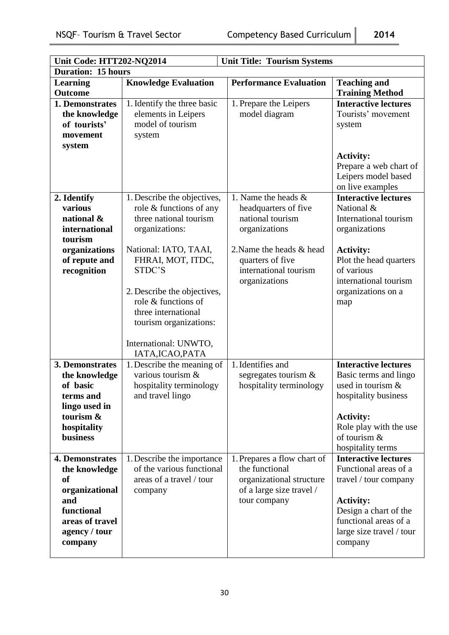| Unit Code: HTT202-NQ2014                                                                                                            |                                                                                                                                                                                                                                                                                                                | <b>Unit Title: Tourism Systems</b>                                                                                                                                         |                                                                                                                                                                                                       |
|-------------------------------------------------------------------------------------------------------------------------------------|----------------------------------------------------------------------------------------------------------------------------------------------------------------------------------------------------------------------------------------------------------------------------------------------------------------|----------------------------------------------------------------------------------------------------------------------------------------------------------------------------|-------------------------------------------------------------------------------------------------------------------------------------------------------------------------------------------------------|
| <b>Duration: 15 hours</b>                                                                                                           |                                                                                                                                                                                                                                                                                                                |                                                                                                                                                                            |                                                                                                                                                                                                       |
| <b>Learning</b><br><b>Outcome</b>                                                                                                   | <b>Knowledge Evaluation</b>                                                                                                                                                                                                                                                                                    | <b>Performance Evaluation</b>                                                                                                                                              | <b>Teaching and</b><br><b>Training Method</b>                                                                                                                                                         |
| 1. Demonstrates<br>the knowledge<br>of tourists'<br>movement<br>system                                                              | 1. Identify the three basic<br>elements in Leipers<br>model of tourism<br>system                                                                                                                                                                                                                               | 1. Prepare the Leipers<br>model diagram                                                                                                                                    | <b>Interactive lectures</b><br>Tourists' movement<br>system<br><b>Activity:</b><br>Prepare a web chart of<br>Leipers model based<br>on live examples                                                  |
| 2. Identify<br>various<br>national &<br>international<br>tourism<br>organizations<br>of repute and<br>recognition                   | 1. Describe the objectives,<br>role & functions of any<br>three national tourism<br>organizations:<br>National: IATO, TAAI,<br>FHRAI, MOT, ITDC,<br>STDC'S<br>2. Describe the objectives,<br>role & functions of<br>three international<br>tourism organizations:<br>International: UNWTO,<br>IATA, ICAO, PATA | 1. Name the heads &<br>headquarters of five<br>national tourism<br>organizations<br>2. Name the heads & head<br>quarters of five<br>international tourism<br>organizations | <b>Interactive lectures</b><br>National &<br>International tourism<br>organizations<br><b>Activity:</b><br>Plot the head quarters<br>of various<br>international tourism<br>organizations on a<br>map |
| 3. Demonstrates<br>the knowledge<br>of basic<br>terms and<br>lingo used in<br>tourism &<br>hospitality<br>business                  | 1. Describe the meaning of<br>various tourism &<br>hospitality terminology<br>and travel lingo                                                                                                                                                                                                                 | 1. Identifies and<br>segregates tourism $\&$<br>hospitality terminology                                                                                                    | <b>Interactive lectures</b><br>Basic terms and lingo<br>used in tourism $\&$<br>hospitality business<br><b>Activity:</b><br>Role play with the use<br>of tourism &<br>hospitality terms               |
| 4. Demonstrates<br>the knowledge<br><b>of</b><br>organizational<br>and<br>functional<br>areas of travel<br>agency / tour<br>company | 1. Describe the importance<br>of the various functional<br>areas of a travel / tour<br>company                                                                                                                                                                                                                 | 1. Prepares a flow chart of<br>the functional<br>organizational structure<br>of a large size travel /<br>tour company                                                      | <b>Interactive lectures</b><br>Functional areas of a<br>travel / tour company<br><b>Activity:</b><br>Design a chart of the<br>functional areas of a<br>large size travel / tour<br>company            |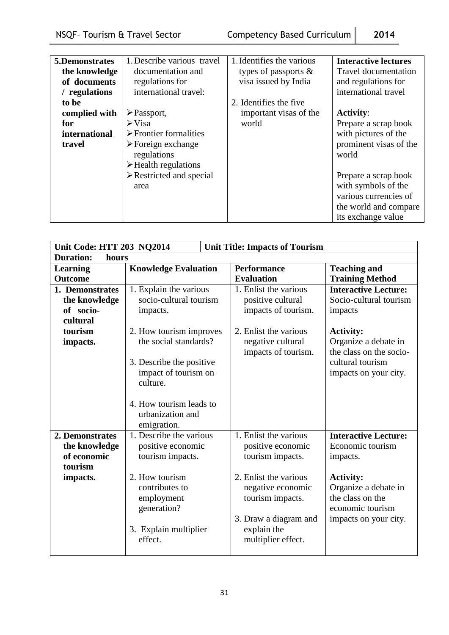| 5.Demonstrates | 1. Describe various travel              | 1. Identifies the various | <b>Interactive lectures</b> |
|----------------|-----------------------------------------|---------------------------|-----------------------------|
| the knowledge  | documentation and                       | types of passports $\&$   | <b>Travel documentation</b> |
| of documents   | regulations for                         | visa issued by India      | and regulations for         |
| / regulations  | international travel:                   |                           | international travel        |
| to be          |                                         | 2. Identifies the five    |                             |
| complied with  | $\triangleright$ Passport,              | important visas of the    | <b>Activity:</b>            |
| for            | $\triangleright$ Visa                   | world                     | Prepare a scrap book        |
| international  | $\triangleright$ Frontier formalities   |                           | with pictures of the        |
| travel         | $\triangleright$ Foreign exchange       |                           | prominent visas of the      |
|                | regulations                             |                           | world                       |
|                | $\triangleright$ Health regulations     |                           |                             |
|                | $\triangleright$ Restricted and special |                           | Prepare a scrap book        |
|                | area                                    |                           | with symbols of the         |
|                |                                         |                           | various currencies of       |
|                |                                         |                           | the world and compare       |
|                |                                         |                           | its exchange value          |

|                                                                        | Unit Code: HTT 203 NQ2014<br><b>Unit Title: Impacts of Tourism</b>                                                                                  |                                                                                                              |                                                                                                         |  |  |
|------------------------------------------------------------------------|-----------------------------------------------------------------------------------------------------------------------------------------------------|--------------------------------------------------------------------------------------------------------------|---------------------------------------------------------------------------------------------------------|--|--|
| <b>Duration:</b>                                                       | hours                                                                                                                                               |                                                                                                              |                                                                                                         |  |  |
| <b>Learning</b><br><b>Outcome</b>                                      | <b>Knowledge Evaluation</b>                                                                                                                         | <b>Performance</b><br><b>Evaluation</b>                                                                      | <b>Teaching and</b><br><b>Training Method</b>                                                           |  |  |
| 1. Demonstrates<br>the knowledge<br>of socio-<br>cultural<br>tourism   | 1. Explain the various<br>socio-cultural tourism<br>impacts.<br>2. How tourism improves                                                             | 1. Enlist the various<br>positive cultural<br>impacts of tourism.<br>2. Enlist the various                   | <b>Interactive Lecture:</b><br>Socio-cultural tourism<br>impacts<br><b>Activity:</b>                    |  |  |
| impacts.                                                               | the social standards?<br>3. Describe the positive<br>impact of tourism on<br>culture.<br>4. How tourism leads to<br>urbanization and<br>emigration. | negative cultural<br>impacts of tourism.                                                                     | Organize a debate in<br>the class on the socio-<br>cultural tourism<br>impacts on your city.            |  |  |
| 2. Demonstrates<br>the knowledge<br>of economic<br>tourism<br>impacts. | 1. Describe the various<br>positive economic<br>tourism impacts.<br>2. How tourism<br>contributes to                                                | 1. Enlist the various<br>positive economic<br>tourism impacts.<br>2. Enlist the various<br>negative economic | <b>Interactive Lecture:</b><br>Economic tourism<br>impacts.<br><b>Activity:</b><br>Organize a debate in |  |  |
|                                                                        | employment<br>generation?<br>3. Explain multiplier<br>effect.                                                                                       | tourism impacts.<br>3. Draw a diagram and<br>explain the<br>multiplier effect.                               | the class on the<br>economic tourism<br>impacts on your city.                                           |  |  |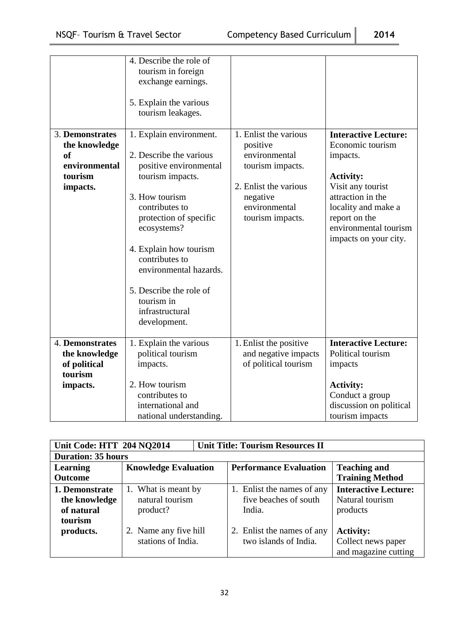| 3. Demonstrates                                                        | 4. Describe the role of<br>tourism in foreign<br>exchange earnings.<br>5. Explain the various<br>tourism leakages.<br>1. Explain environment.                                                                                                                                                        | 1. Enlist the various                                                                                                   | <b>Interactive Lecture:</b>                                                                                                                                                          |
|------------------------------------------------------------------------|------------------------------------------------------------------------------------------------------------------------------------------------------------------------------------------------------------------------------------------------------------------------------------------------------|-------------------------------------------------------------------------------------------------------------------------|--------------------------------------------------------------------------------------------------------------------------------------------------------------------------------------|
| the knowledge<br><sub>of</sub><br>environmental<br>tourism<br>impacts. | 2. Describe the various<br>positive environmental<br>tourism impacts.<br>3. How tourism<br>contributes to<br>protection of specific<br>ecosystems?<br>4. Explain how tourism<br>contributes to<br>environmental hazards.<br>5. Describe the role of<br>tourism in<br>infrastructural<br>development. | positive<br>environmental<br>tourism impacts.<br>2. Enlist the various<br>negative<br>environmental<br>tourism impacts. | Economic tourism<br>impacts.<br><b>Activity:</b><br>Visit any tourist<br>attraction in the<br>locality and make a<br>report on the<br>environmental tourism<br>impacts on your city. |
| 4. Demonstrates<br>the knowledge<br>of political<br>tourism            | 1. Explain the various<br>political tourism<br>impacts.                                                                                                                                                                                                                                              | 1. Enlist the positive<br>and negative impacts<br>of political tourism                                                  | <b>Interactive Lecture:</b><br>Political tourism<br>impacts                                                                                                                          |
| impacts.                                                               | 2. How tourism<br>contributes to<br>international and<br>national understanding.                                                                                                                                                                                                                     |                                                                                                                         | <b>Activity:</b><br>Conduct a group<br>discussion on political<br>tourism impacts                                                                                                    |

| Unit Code: HTT 204 NQ2014<br><b>Unit Title: Tourism Resources II</b> |                                                    |  |                                                               |                                                                |
|----------------------------------------------------------------------|----------------------------------------------------|--|---------------------------------------------------------------|----------------------------------------------------------------|
| <b>Duration: 35 hours</b>                                            |                                                    |  |                                                               |                                                                |
| <b>Learning</b>                                                      | <b>Knowledge Evaluation</b>                        |  | <b>Performance Evaluation</b>                                 | <b>Teaching and</b>                                            |
| <b>Outcome</b>                                                       |                                                    |  |                                                               | <b>Training Method</b>                                         |
| 1. Demonstrate<br>the knowledge<br>of natural                        | 1. What is meant by<br>natural tourism<br>product? |  | 1. Enlist the names of any<br>five beaches of south<br>India. | <b>Interactive Lecture:</b><br>Natural tourism<br>products     |
| tourism<br>products.                                                 | 2. Name any five hill<br>stations of India.        |  | 2. Enlist the names of any<br>two islands of India.           | <b>Activity:</b><br>Collect news paper<br>and magazine cutting |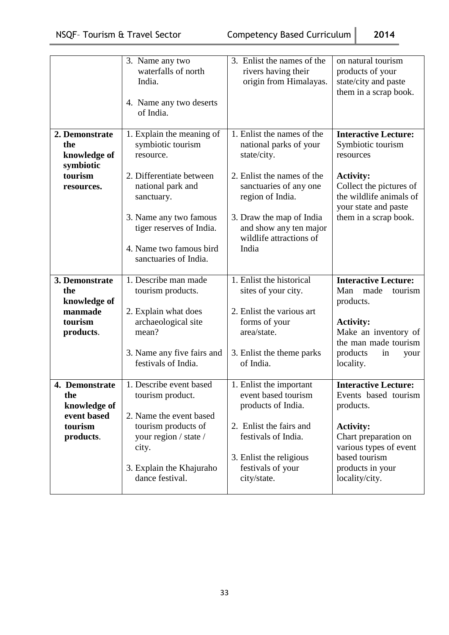|                                                                              | 3. Name any two<br>waterfalls of north<br>India.<br>4. Name any two deserts<br>of India.                                                                                                                                             | 3. Enlist the names of the<br>rivers having their<br>origin from Himalayas.                                                                                                                                                               | on natural tourism<br>products of your<br>state/city and paste<br>them in a scrap book.                                                                                                       |
|------------------------------------------------------------------------------|--------------------------------------------------------------------------------------------------------------------------------------------------------------------------------------------------------------------------------------|-------------------------------------------------------------------------------------------------------------------------------------------------------------------------------------------------------------------------------------------|-----------------------------------------------------------------------------------------------------------------------------------------------------------------------------------------------|
| 2. Demonstrate<br>the<br>knowledge of<br>symbiotic<br>tourism<br>resources.  | 1. Explain the meaning of<br>symbiotic tourism<br>resource.<br>2. Differentiate between<br>national park and<br>sanctuary.<br>3. Name any two famous<br>tiger reserves of India.<br>4. Name two famous bird<br>sanctuaries of India. | 1. Enlist the names of the<br>national parks of your<br>state/city.<br>2. Enlist the names of the<br>sanctuaries of any one<br>region of India.<br>3. Draw the map of India<br>and show any ten major<br>wildlife attractions of<br>India | <b>Interactive Lecture:</b><br>Symbiotic tourism<br>resources<br><b>Activity:</b><br>Collect the pictures of<br>the wildlife animals of<br>your state and paste<br>them in a scrap book.      |
| 3. Demonstrate<br>the<br>knowledge of<br>manmade<br>tourism<br>products.     | $1.$ Describe man made<br>tourism products.<br>2. Explain what does<br>archaeological site<br>mean?<br>3. Name any five fairs and<br>festivals of India.                                                                             | 1. Enlist the historical<br>sites of your city.<br>2. Enlist the various art<br>forms of your<br>area/state.<br>3. Enlist the theme parks<br>of India.                                                                                    | <b>Interactive Lecture:</b><br>Man<br>made<br>tourism<br>products.<br><b>Activity:</b><br>Make an inventory of<br>the man made tourism<br>products<br>in<br>your<br>locality.                 |
| 4. Demonstrate<br>the<br>knowledge of<br>event based<br>tourism<br>products. | 1. Describe event based<br>tourism product.<br>2. Name the event based<br>tourism products of<br>your region / state /<br>city.<br>3. Explain the Khajuraho<br>dance festival.                                                       | 1. Enlist the important<br>event based tourism<br>products of India.<br>2. Enlist the fairs and<br>festivals of India.<br>3. Enlist the religious<br>festivals of your<br>city/state.                                                     | <b>Interactive Lecture:</b><br>Events based tourism<br>products.<br><b>Activity:</b><br>Chart preparation on<br>various types of event<br>based tourism<br>products in your<br>locality/city. |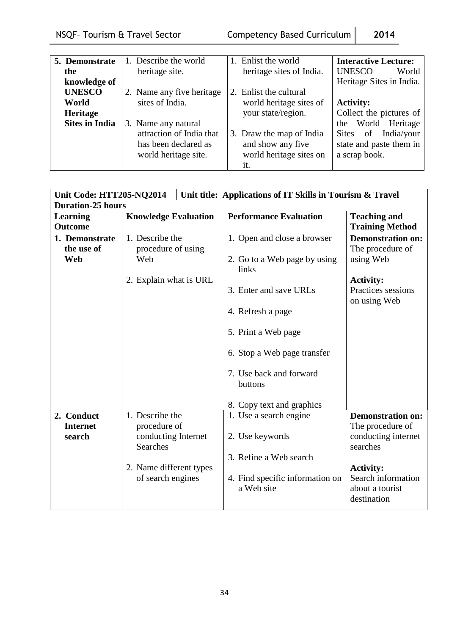| 5. Demonstrate        | 1. Describe the world     | 1. Enlist the world      | <b>Interactive Lecture:</b>      |
|-----------------------|---------------------------|--------------------------|----------------------------------|
| the                   | heritage site.            | heritage sites of India. | <b>UNESCO</b><br>World           |
| knowledge of          |                           |                          | Heritage Sites in India.         |
| <b>UNESCO</b>         | 2. Name any five heritage | 2. Enlist the cultural   |                                  |
| World                 | sites of India.           | world heritage sites of  | <b>Activity:</b>                 |
| Heritage              |                           | your state/region.       | Collect the pictures of          |
| <b>Sites in India</b> | 3. Name any natural       |                          | World Heritage<br>the            |
|                       | attraction of India that  | 3. Draw the map of India | India/your<br><b>Sites</b><br>of |
|                       | has been declared as      | and show any five        | state and paste them in          |
|                       | world heritage site.      | world heritage sites on  | a scrap book.                    |
|                       |                           | it.                      |                                  |

| Unit Code: HTT205-NQ2014                |                                                                           | Unit title: Applications of IT Skills in Tourism & Travel                                                                                                                                                                                    |                                                                                                                     |
|-----------------------------------------|---------------------------------------------------------------------------|----------------------------------------------------------------------------------------------------------------------------------------------------------------------------------------------------------------------------------------------|---------------------------------------------------------------------------------------------------------------------|
| <b>Duration-25 hours</b>                |                                                                           |                                                                                                                                                                                                                                              |                                                                                                                     |
| <b>Learning</b><br><b>Outcome</b>       | <b>Knowledge Evaluation</b>                                               | <b>Performance Evaluation</b>                                                                                                                                                                                                                | <b>Teaching and</b><br><b>Training Method</b>                                                                       |
| 1. Demonstrate<br>the use of<br>Web     | 1. Describe the<br>procedure of using<br>Web<br>2. Explain what is URL    | 1. Open and close a browser<br>2. Go to a Web page by using<br>links<br>3. Enter and save URLs<br>4. Refresh a page<br>5. Print a Web page<br>6. Stop a Web page transfer<br>7. Use back and forward<br>buttons<br>8. Copy text and graphics | <b>Demonstration on:</b><br>The procedure of<br>using Web<br><b>Activity:</b><br>Practices sessions<br>on using Web |
| 2. Conduct<br><b>Internet</b><br>search | 1. Describe the<br>procedure of<br>conducting Internet<br><b>Searches</b> | 1. Use a search engine<br>2. Use keywords                                                                                                                                                                                                    | <b>Demonstration on:</b><br>The procedure of<br>conducting internet<br>searches                                     |
|                                         | 2. Name different types<br>of search engines                              | 3. Refine a Web search<br>4. Find specific information on<br>a Web site                                                                                                                                                                      | <b>Activity:</b><br>Search information<br>about a tourist<br>destination                                            |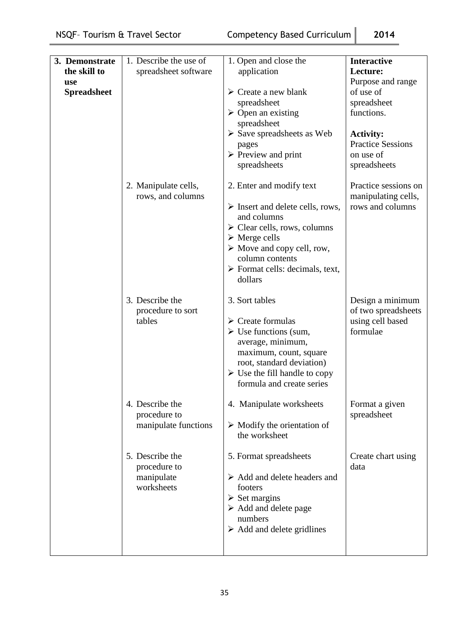| 3. Demonstrate<br>the skill to<br>use<br><b>Spreadsheet</b> | 1. Describe the use of<br>spreadsheet software              | 1. Open and close the<br>application<br>$\triangleright$ Create a new blank<br>spreadsheet<br>$\triangleright$ Open an existing<br>spreadsheet<br>$\triangleright$ Save spreadsheets as Web<br>pages<br>$\triangleright$ Preview and print<br>spreadsheets                                             | <b>Interactive</b><br>Lecture:<br>Purpose and range<br>of use of<br>spreadsheet<br>functions.<br><b>Activity:</b><br><b>Practice Sessions</b><br>on use of<br>spreadsheets |
|-------------------------------------------------------------|-------------------------------------------------------------|--------------------------------------------------------------------------------------------------------------------------------------------------------------------------------------------------------------------------------------------------------------------------------------------------------|----------------------------------------------------------------------------------------------------------------------------------------------------------------------------|
|                                                             | 2. Manipulate cells,<br>rows, and columns                   | 2. Enter and modify text<br>$\triangleright$ Insert and delete cells, rows,<br>and columns<br>$\triangleright$ Clear cells, rows, columns<br>$\triangleright$ Merge cells<br>$\triangleright$ Move and copy cell, row,<br>column contents<br>$\triangleright$ Format cells: decimals, text,<br>dollars | Practice sessions on<br>manipulating cells,<br>rows and columns                                                                                                            |
|                                                             | 3. Describe the<br>procedure to sort<br>tables              | 3. Sort tables<br>$\triangleright$ Create formulas<br>$\triangleright$ Use functions (sum,<br>average, minimum,<br>maximum, count, square<br>root, standard deviation)<br>$\triangleright$ Use the fill handle to copy<br>formula and create series                                                    | Design a minimum<br>of two spreadsheets<br>using cell based<br>formulae                                                                                                    |
|                                                             | 4. Describe the<br>procedure to<br>manipulate functions     | 4. Manipulate worksheets<br>$\triangleright$ Modify the orientation of<br>the worksheet                                                                                                                                                                                                                | Format a given<br>spreadsheet                                                                                                                                              |
|                                                             | 5. Describe the<br>procedure to<br>manipulate<br>worksheets | 5. Format spreadsheets<br>$\triangleright$ Add and delete headers and<br>footers<br>$\triangleright$ Set margins<br>$\triangleright$ Add and delete page<br>numbers<br>$\triangleright$ Add and delete gridlines                                                                                       | Create chart using<br>data                                                                                                                                                 |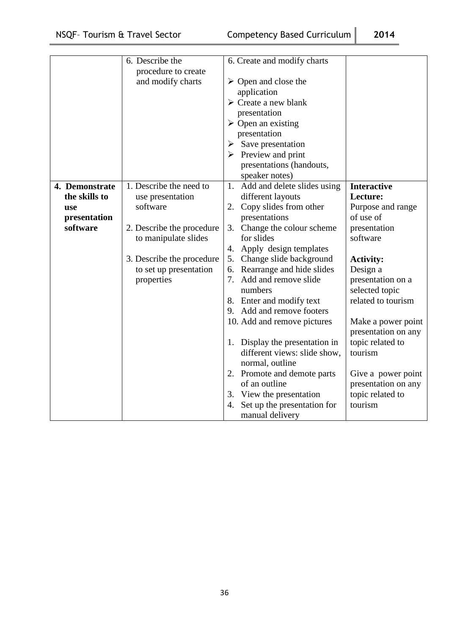|                | 6. Describe the           | 6. Create and modify charts         |                     |
|----------------|---------------------------|-------------------------------------|---------------------|
|                | procedure to create       |                                     |                     |
|                | and modify charts         | $\triangleright$ Open and close the |                     |
|                |                           | application                         |                     |
|                |                           | $\triangleright$ Create a new blank |                     |
|                |                           | presentation                        |                     |
|                |                           | $\triangleright$ Open an existing   |                     |
|                |                           | presentation                        |                     |
|                |                           | $\triangleright$ Save presentation  |                     |
|                |                           | $\triangleright$ Preview and print  |                     |
|                |                           | presentations (handouts,            |                     |
|                |                           | speaker notes)                      |                     |
| 4. Demonstrate | 1. Describe the need to   | 1. Add and delete slides using      | <b>Interactive</b>  |
| the skills to  | use presentation          | different layouts                   | Lecture:            |
| <b>use</b>     | software                  | Copy slides from other<br>2.        | Purpose and range   |
| presentation   |                           | presentations                       | of use of           |
| software       | 2. Describe the procedure | Change the colour scheme<br>3.      | presentation        |
|                | to manipulate slides      | for slides                          | software            |
|                |                           | 4. Apply design templates           |                     |
|                | 3. Describe the procedure | Change slide background<br>5.       | <b>Activity:</b>    |
|                | to set up presentation    | Rearrange and hide slides<br>6.     | Design a            |
|                | properties                | Add and remove slide<br>7.          | presentation on a   |
|                |                           | numbers                             | selected topic      |
|                |                           | 8. Enter and modify text            | related to tourism  |
|                |                           | 9. Add and remove footers           |                     |
|                |                           | 10. Add and remove pictures         |                     |
|                |                           |                                     | Make a power point  |
|                |                           |                                     | presentation on any |
|                |                           | 1. Display the presentation in      | topic related to    |
|                |                           | different views: slide show,        | tourism             |
|                |                           | normal, outline                     |                     |
|                |                           | 2. Promote and demote parts         | Give a power point  |
|                |                           | of an outline                       | presentation on any |
|                |                           | 3. View the presentation            | topic related to    |
|                |                           | Set up the presentation for<br>4.   | tourism             |
|                |                           | manual delivery                     |                     |